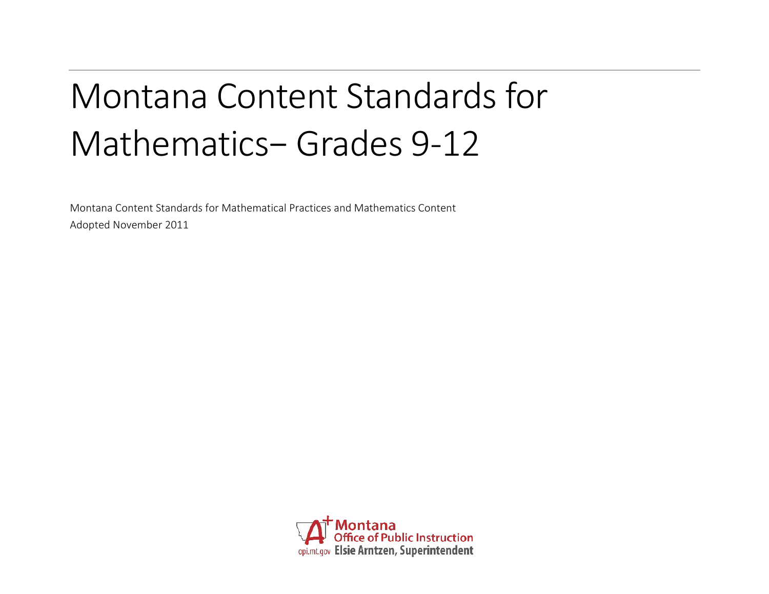# Montana Content Standards for Mathematics− Grades 9-12

Montana Content Standards for Mathematical Practices and Mathematics Content Adopted November 2011

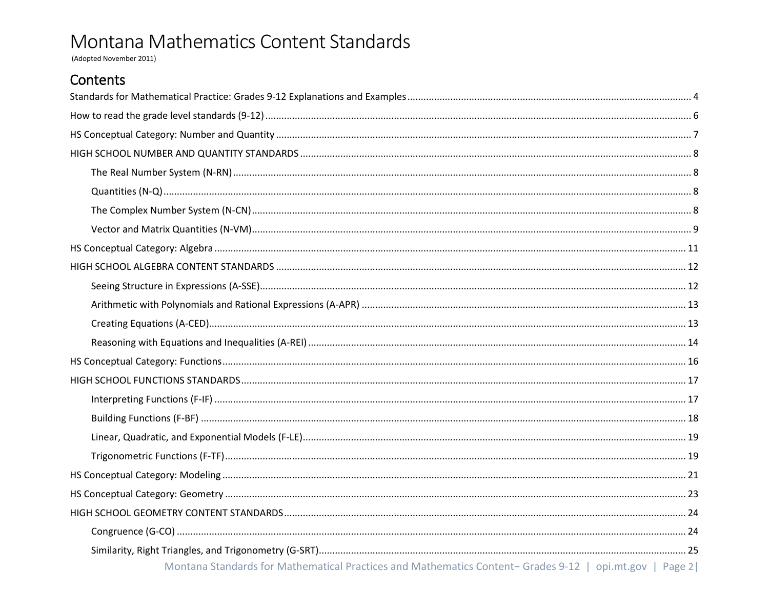(Adopted November 2011)

### Contents

| Montana Standards for Mathematical Practices and Mathematics Content-Grades 9-12   opi.mt.gov   Page 2 |  |
|--------------------------------------------------------------------------------------------------------|--|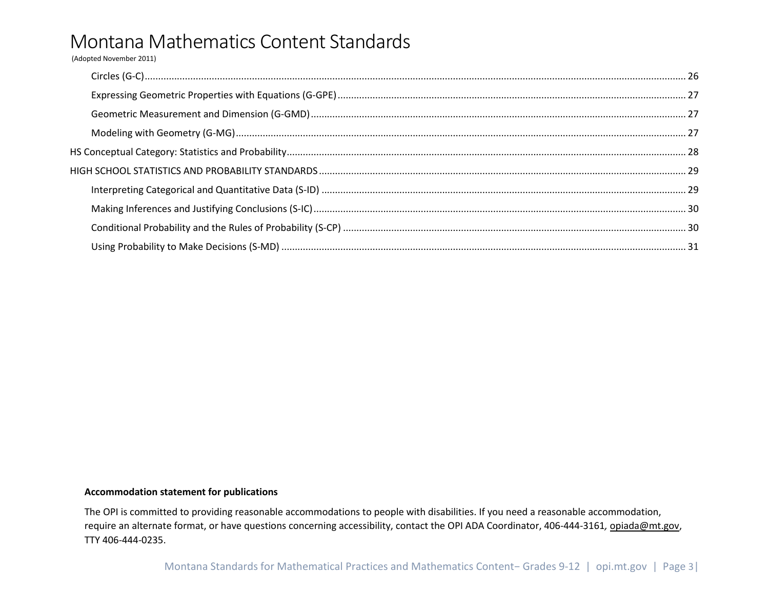(Adopted November 2011)

#### **Accommodation statement for publications**

The OPI is committed to providing reasonable accommodations to people with disabilities. If you need a reasonable accommodation, require an alternate format, or have questions concerning accessibility, contact the OPI ADA Coordinator, 406-444-3161*,* [opiada@mt.gov,](mailto:opiada@mt.gov) TTY 406-444-0235.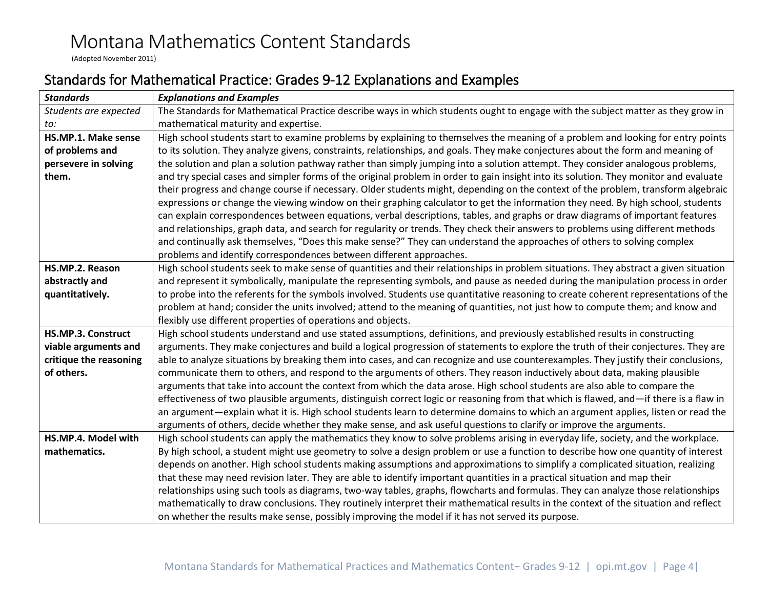(Adopted November 2011)

### <span id="page-3-0"></span>Standards for Mathematical Practice: Grades 9-12 Explanations and Examples

| <b>Standards</b>       | <b>Explanations and Examples</b>                                                                                                      |
|------------------------|---------------------------------------------------------------------------------------------------------------------------------------|
| Students are expected  | The Standards for Mathematical Practice describe ways in which students ought to engage with the subject matter as they grow in       |
| to:                    | mathematical maturity and expertise.                                                                                                  |
| HS.MP.1. Make sense    | High school students start to examine problems by explaining to themselves the meaning of a problem and looking for entry points      |
| of problems and        | to its solution. They analyze givens, constraints, relationships, and goals. They make conjectures about the form and meaning of      |
| persevere in solving   | the solution and plan a solution pathway rather than simply jumping into a solution attempt. They consider analogous problems,        |
| them.                  | and try special cases and simpler forms of the original problem in order to gain insight into its solution. They monitor and evaluate |
|                        | their progress and change course if necessary. Older students might, depending on the context of the problem, transform algebraic     |
|                        | expressions or change the viewing window on their graphing calculator to get the information they need. By high school, students      |
|                        | can explain correspondences between equations, verbal descriptions, tables, and graphs or draw diagrams of important features         |
|                        | and relationships, graph data, and search for regularity or trends. They check their answers to problems using different methods      |
|                        | and continually ask themselves, "Does this make sense?" They can understand the approaches of others to solving complex               |
|                        | problems and identify correspondences between different approaches.                                                                   |
| HS.MP.2. Reason        | High school students seek to make sense of quantities and their relationships in problem situations. They abstract a given situation  |
| abstractly and         | and represent it symbolically, manipulate the representing symbols, and pause as needed during the manipulation process in order      |
| quantitatively.        | to probe into the referents for the symbols involved. Students use quantitative reasoning to create coherent representations of the   |
|                        | problem at hand; consider the units involved; attend to the meaning of quantities, not just how to compute them; and know and         |
|                        | flexibly use different properties of operations and objects.                                                                          |
| HS.MP.3. Construct     | High school students understand and use stated assumptions, definitions, and previously established results in constructing           |
| viable arguments and   | arguments. They make conjectures and build a logical progression of statements to explore the truth of their conjectures. They are    |
| critique the reasoning | able to analyze situations by breaking them into cases, and can recognize and use counterexamples. They justify their conclusions,    |
| of others.             | communicate them to others, and respond to the arguments of others. They reason inductively about data, making plausible              |
|                        | arguments that take into account the context from which the data arose. High school students are also able to compare the             |
|                        | effectiveness of two plausible arguments, distinguish correct logic or reasoning from that which is flawed, and—if there is a flaw in |
|                        | an argument—explain what it is. High school students learn to determine domains to which an argument applies, listen or read the      |
|                        | arguments of others, decide whether they make sense, and ask useful questions to clarify or improve the arguments.                    |
| HS.MP.4. Model with    | High school students can apply the mathematics they know to solve problems arising in everyday life, society, and the workplace.      |
| mathematics.           | By high school, a student might use geometry to solve a design problem or use a function to describe how one quantity of interest     |
|                        | depends on another. High school students making assumptions and approximations to simplify a complicated situation, realizing         |
|                        | that these may need revision later. They are able to identify important quantities in a practical situation and map their             |
|                        | relationships using such tools as diagrams, two-way tables, graphs, flowcharts and formulas. They can analyze those relationships     |
|                        | mathematically to draw conclusions. They routinely interpret their mathematical results in the context of the situation and reflect   |
|                        | on whether the results make sense, possibly improving the model if it has not served its purpose.                                     |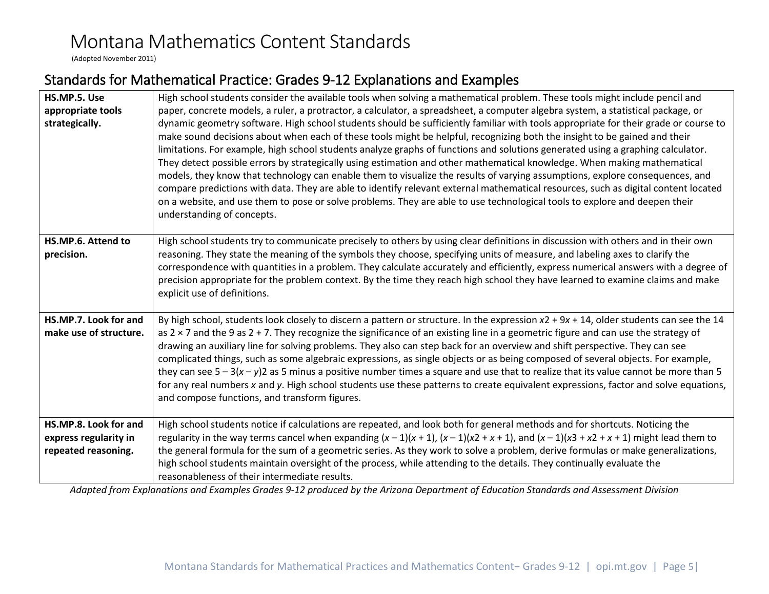(Adopted November 2011)

### Standards for Mathematical Practice: Grades 9-12 Explanations and Examples

| HS.MP.5. Use<br>appropriate tools<br>strategically.                   | High school students consider the available tools when solving a mathematical problem. These tools might include pencil and<br>paper, concrete models, a ruler, a protractor, a calculator, a spreadsheet, a computer algebra system, a statistical package, or<br>dynamic geometry software. High school students should be sufficiently familiar with tools appropriate for their grade or course to<br>make sound decisions about when each of these tools might be helpful, recognizing both the insight to be gained and their<br>limitations. For example, high school students analyze graphs of functions and solutions generated using a graphing calculator.<br>They detect possible errors by strategically using estimation and other mathematical knowledge. When making mathematical<br>models, they know that technology can enable them to visualize the results of varying assumptions, explore consequences, and<br>compare predictions with data. They are able to identify relevant external mathematical resources, such as digital content located<br>on a website, and use them to pose or solve problems. They are able to use technological tools to explore and deepen their<br>understanding of concepts. |
|-----------------------------------------------------------------------|--------------------------------------------------------------------------------------------------------------------------------------------------------------------------------------------------------------------------------------------------------------------------------------------------------------------------------------------------------------------------------------------------------------------------------------------------------------------------------------------------------------------------------------------------------------------------------------------------------------------------------------------------------------------------------------------------------------------------------------------------------------------------------------------------------------------------------------------------------------------------------------------------------------------------------------------------------------------------------------------------------------------------------------------------------------------------------------------------------------------------------------------------------------------------------------------------------------------------------------|
| HS.MP.6. Attend to<br>precision.                                      | High school students try to communicate precisely to others by using clear definitions in discussion with others and in their own<br>reasoning. They state the meaning of the symbols they choose, specifying units of measure, and labeling axes to clarify the<br>correspondence with quantities in a problem. They calculate accurately and efficiently, express numerical answers with a degree of<br>precision appropriate for the problem context. By the time they reach high school they have learned to examine claims and make<br>explicit use of definitions.                                                                                                                                                                                                                                                                                                                                                                                                                                                                                                                                                                                                                                                             |
| HS.MP.7. Look for and<br>make use of structure.                       | By high school, students look closely to discern a pattern or structure. In the expression $x^2 + 9x + 14$ , older students can see the 14<br>as $2 \times 7$ and the 9 as $2 + 7$ . They recognize the significance of an existing line in a geometric figure and can use the strategy of<br>drawing an auxiliary line for solving problems. They also can step back for an overview and shift perspective. They can see<br>complicated things, such as some algebraic expressions, as single objects or as being composed of several objects. For example,<br>they can see $5-3(x-y)$ 2 as 5 minus a positive number times a square and use that to realize that its value cannot be more than 5<br>for any real numbers x and y. High school students use these patterns to create equivalent expressions, factor and solve equations,<br>and compose functions, and transform figures.                                                                                                                                                                                                                                                                                                                                           |
| HS.MP.8. Look for and<br>express regularity in<br>repeated reasoning. | High school students notice if calculations are repeated, and look both for general methods and for shortcuts. Noticing the<br>regularity in the way terms cancel when expanding $(x-1)(x+1)$ , $(x-1)(x^2+x+1)$ , and $(x-1)(x^3+x^2+x+1)$ might lead them to<br>the general formula for the sum of a geometric series. As they work to solve a problem, derive formulas or make generalizations,<br>high school students maintain oversight of the process, while attending to the details. They continually evaluate the<br>reasonableness of their intermediate results.                                                                                                                                                                                                                                                                                                                                                                                                                                                                                                                                                                                                                                                         |

*Adapted from Explanations and Examples Grades 9-12 produced by the Arizona Department of Education Standards and Assessment Division*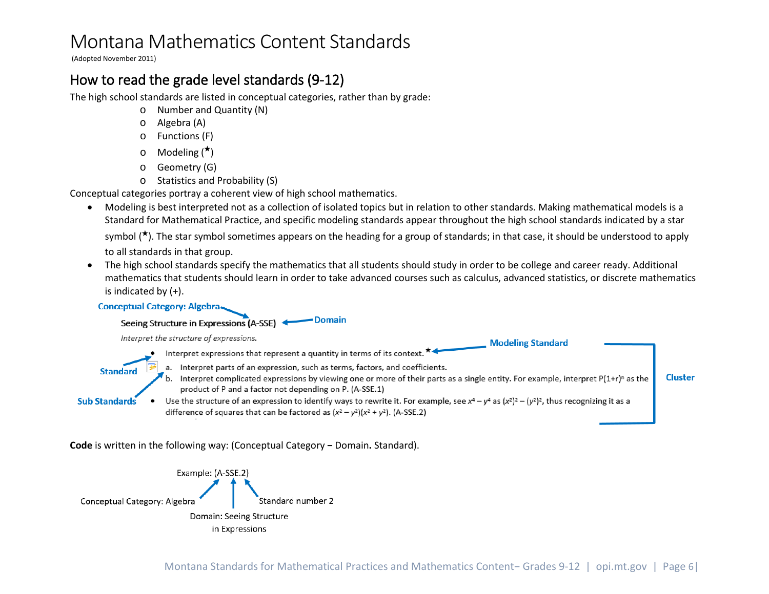(Adopted November 2011)

### <span id="page-5-0"></span>How to read the grade level standards (9-12)

The high school standards are listed in conceptual categories, rather than by grade:

- o Number and Quantity (N)
- o Algebra (A)
- o Functions (F)
- $\circ$  Modeling ( $\star$ )
- o Geometry (G)
- o Statistics and Probability (S)

Conceptual categories portray a coherent view of high school mathematics.

• Modeling is best interpreted not as a collection of isolated topics but in relation to other standards. Making mathematical models is a Standard for Mathematical Practice, and specific modeling standards appear throughout the high school standards indicated by a star

symbol  $(\star)$ . The star symbol sometimes appears on the heading for a group of standards; in that case, it should be understood to apply to all standards in that group.

• The high school standards specify the mathematics that all students should study in order to be college and career ready. Additional mathematics that students should learn in order to take advanced courses such as calculus, advanced statistics, or discrete mathematics is indicated by (+).

**Conceptual Category: Algebra** 



**Code** is written in the following way: (Conceptual Category **−** Domain**.** Standard).

Example: (A-SSE.2) Conceptual Category: Algebra Standard number 2 Domain: Seeing Structure in Expressions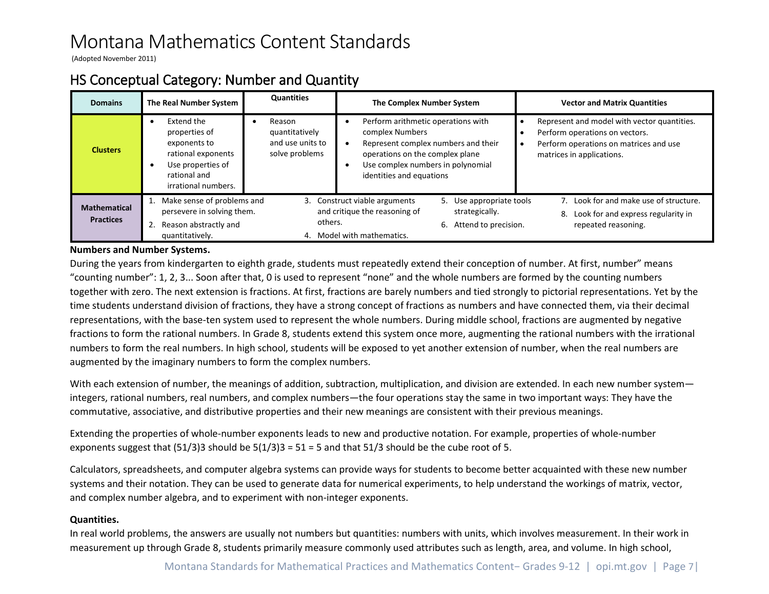(Adopted November 2011)

### <span id="page-6-0"></span>HS Conceptual Category: Number and Quantity

| <b>Domains</b>                          | The Real Number System                                                                                                        | <b>Quantities</b>                                              | The Complex Number System                                                                                                                                                                        | <b>Vector and Matrix Quantities</b>                                                                                                                  |  |
|-----------------------------------------|-------------------------------------------------------------------------------------------------------------------------------|----------------------------------------------------------------|--------------------------------------------------------------------------------------------------------------------------------------------------------------------------------------------------|------------------------------------------------------------------------------------------------------------------------------------------------------|--|
| <b>Clusters</b>                         | Extend the<br>properties of<br>exponents to<br>rational exponents<br>Use properties of<br>rational and<br>irrational numbers. | Reason<br>quantitatively<br>and use units to<br>solve problems | Perform arithmetic operations with<br>complex Numbers<br>Represent complex numbers and their<br>operations on the complex plane<br>Use complex numbers in polynomial<br>identities and equations | Represent and model with vector quantities.<br>Perform operations on vectors.<br>Perform operations on matrices and use<br>matrices in applications. |  |
| <b>Mathematical</b><br><b>Practices</b> | Make sense of problems and<br>persevere in solving them.<br>Reason abstractly and<br>quantitatively.                          | others.                                                        | 3. Construct viable arguments<br>5. Use appropriate tools<br>and critique the reasoning of<br>strategically.<br>Attend to precision.<br>6.<br>Model with mathematics.                            | 7. Look for and make use of structure.<br>Look for and express regularity in<br>8.<br>repeated reasoning.                                            |  |

#### **Numbers and Number Systems.**

During the years from kindergarten to eighth grade, students must repeatedly extend their conception of number. At first, number" means "counting number": 1, 2, 3... Soon after that, 0 is used to represent "none" and the whole numbers are formed by the counting numbers together with zero. The next extension is fractions. At first, fractions are barely numbers and tied strongly to pictorial representations. Yet by the time students understand division of fractions, they have a strong concept of fractions as numbers and have connected them, via their decimal representations, with the base-ten system used to represent the whole numbers. During middle school, fractions are augmented by negative fractions to form the rational numbers. In Grade 8, students extend this system once more, augmenting the rational numbers with the irrational numbers to form the real numbers. In high school, students will be exposed to yet another extension of number, when the real numbers are augmented by the imaginary numbers to form the complex numbers.

With each extension of number, the meanings of addition, subtraction, multiplication, and division are extended. In each new number system integers, rational numbers, real numbers, and complex numbers—the four operations stay the same in two important ways: They have the commutative, associative, and distributive properties and their new meanings are consistent with their previous meanings.

Extending the properties of whole-number exponents leads to new and productive notation. For example, properties of whole-number exponents suggest that  $(51/3)3$  should be  $5(1/3)3 = 51 = 5$  and that  $51/3$  should be the cube root of 5.

Calculators, spreadsheets, and computer algebra systems can provide ways for students to become better acquainted with these new number systems and their notation. They can be used to generate data for numerical experiments, to help understand the workings of matrix, vector, and complex number algebra, and to experiment with non-integer exponents.

#### **Quantities.**

In real world problems, the answers are usually not numbers but quantities: numbers with units, which involves measurement. In their work in measurement up through Grade 8, students primarily measure commonly used attributes such as length, area, and volume. In high school,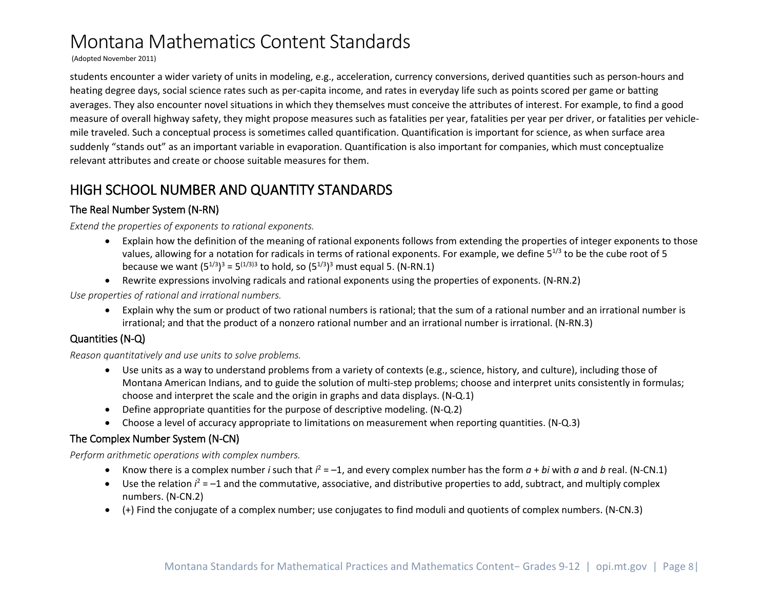(Adopted November 2011)

students encounter a wider variety of units in modeling, e.g., acceleration, currency conversions, derived quantities such as person-hours and heating degree days, social science rates such as per-capita income, and rates in everyday life such as points scored per game or batting averages. They also encounter novel situations in which they themselves must conceive the attributes of interest. For example, to find a good measure of overall highway safety, they might propose measures such as fatalities per year, fatalities per year per driver, or fatalities per vehiclemile traveled. Such a conceptual process is sometimes called quantification. Quantification is important for science, as when surface area suddenly "stands out" as an important variable in evaporation. Quantification is also important for companies, which must conceptualize relevant attributes and create or choose suitable measures for them.

### <span id="page-7-0"></span>HIGH SCHOOL NUMBER AND QUANTITY STANDARDS

### <span id="page-7-1"></span>The Real Number System (N-RN)

#### *Extend the properties of exponents to rational exponents.*

- Explain how the definition of the meaning of rational exponents follows from extending the properties of integer exponents to those values, allowing for a notation for radicals in terms of rational exponents. For example, we define  $5^{1/3}$  to be the cube root of 5 because we want  $(5^{1/3})^3 = 5^{(1/3)3}$  to hold, so  $(5^{1/3})^3$  must equal 5. (N-RN.1)
- Rewrite expressions involving radicals and rational exponents using the properties of exponents. (N-RN.2)

#### *Use properties of rational and irrational numbers.*

• Explain why the sum or product of two rational numbers is rational; that the sum of a rational number and an irrational number is irrational; and that the product of a nonzero rational number and an irrational number is irrational. (N-RN.3)

#### <span id="page-7-2"></span>Quantities (N-Q)

*Reason quantitatively and use units to solve problems.*

- Use units as a way to understand problems from a variety of contexts (e.g., science, history, and culture), including those of Montana American Indians, and to guide the solution of multi-step problems; choose and interpret units consistently in formulas; choose and interpret the scale and the origin in graphs and data displays. (N-Q.1)
- Define appropriate quantities for the purpose of descriptive modeling. (N-Q.2)
- Choose a level of accuracy appropriate to limitations on measurement when reporting quantities. (N-Q.3)

#### <span id="page-7-3"></span>The Complex Number System (N-CN)

*Perform arithmetic operations with complex numbers.*

- Know there is a complex number *i* such that  $i^2 = -1$ , and every complex number has the form  $a + bi$  with  $a$  and  $b$  real. (N-CN.1)
- $\bullet$  Use the relation  $i^2 = -1$  and the commutative, associative, and distributive properties to add, subtract, and multiply complex numbers. (N-CN.2)
- (+) Find the conjugate of a complex number; use conjugates to find moduli and quotients of complex numbers. (N-CN.3)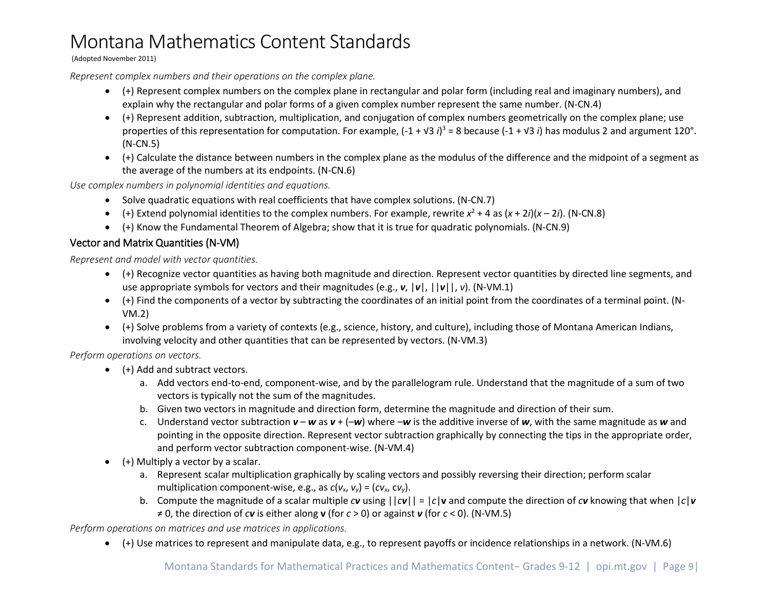#### (Adopted November 2011)

*Represent complex numbers and their operations on the complex plane.*

- (+) Represent complex numbers on the complex plane in rectangular and polar form (including real and imaginary numbers), and explain why the rectangular and polar forms of a given complex number represent the same number. (N-CN.4)
- (+) Represent addition, subtraction, multiplication, and conjugation of complex numbers geometrically on the complex plane; use properties of this representation for computation. For example,  $(-1 + \sqrt{3} i)^3 = 8$  because  $(-1 + \sqrt{3} i)$  has modulus 2 and argument 120°. (N-CN.5)
- (+) Calculate the distance between numbers in the complex plane as the modulus of the difference and the midpoint of a segment as the average of the numbers at its endpoints. (N-CN.6)

*Use complex numbers in polynomial identities and equations.*

- Solve quadratic equations with real coefficients that have complex solutions. (N-CN.7)
- (+) Extend polynomial identities to the complex numbers. For example, rewrite  $x^2 + 4$  as  $(x + 2i)(x 2i)$ . (N-CN.8)
- (+) Know the Fundamental Theorem of Algebra; show that it is true for quadratic polynomials. (N-CN.9)

#### <span id="page-8-0"></span>Vector and Matrix Quantities (N-VM)

*Represent and model with vector quantities.*

- (+) Recognize vector quantities as having both magnitude and direction. Represent vector quantities by directed line segments, and use appropriate symbols for vectors and their magnitudes (e.g.,  $v$ ,  $|v|$ ,  $|v|$ ,  $v$ ). (N-VM.1)
- (+) Find the components of a vector by subtracting the coordinates of an initial point from the coordinates of a terminal point. (N-VM.2)
- (+) Solve problems from a variety of contexts (e.g., science, history, and culture), including those of Montana American Indians, involving velocity and other quantities that can be represented by vectors. (N-VM.3)

#### *Perform operations on vectors.*

- (+) Add and subtract vectors.
	- a. Add vectors end-to-end, component-wise, and by the parallelogram rule. Understand that the magnitude of a sum of two vectors is typically not the sum of the magnitudes.
	- b. Given two vectors in magnitude and direction form, determine the magnitude and direction of their sum.
	- c. Understand vector subtraction *v w* as *v* + (–*w*) where –*w* is the additive inverse of *w*, with the same magnitude as *w* and pointing in the opposite direction. Represent vector subtraction graphically by connecting the tips in the appropriate order, and perform vector subtraction component-wise. (N-VM.4)
- $\bullet$  (+) Multiply a vector by a scalar.
	- a. Represent scalar multiplication graphically by scaling vectors and possibly reversing their direction; perform scalar multiplication component-wise, e.g., as  $c(v_x, v_y) = (cv_x, cv_y)$ .
	- b. Compute the magnitude of a scalar multiple *cv* using  $||cv|| = |c|v$  and compute the direction of *cv* knowing that when  $|c|v$ ≠ 0, the direction of *cv* is either along **v** (for *c* > 0) or against *v* (for *c* < 0). (N-VM.5)

*Perform operations on matrices and use matrices in applications.*

• (+) Use matrices to represent and manipulate data, e.g., to represent payoffs or incidence relationships in a network. (N-VM.6)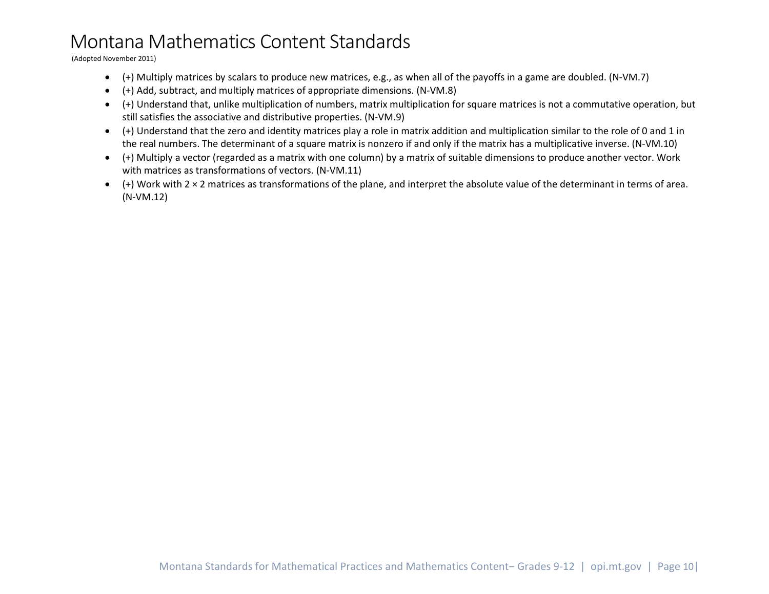(Adopted November 2011)

- (+) Multiply matrices by scalars to produce new matrices, e.g., as when all of the payoffs in a game are doubled. (N-VM.7)
- (+) Add, subtract, and multiply matrices of appropriate dimensions. (N-VM.8)
- (+) Understand that, unlike multiplication of numbers, matrix multiplication for square matrices is not a commutative operation, but still satisfies the associative and distributive properties. (N-VM.9)
- (+) Understand that the zero and identity matrices play a role in matrix addition and multiplication similar to the role of 0 and 1 in the real numbers. The determinant of a square matrix is nonzero if and only if the matrix has a multiplicative inverse. (N-VM.10)
- (+) Multiply a vector (regarded as a matrix with one column) by a matrix of suitable dimensions to produce another vector. Work with matrices as transformations of vectors. (N-VM.11)
- (+) Work with 2 × 2 matrices as transformations of the plane, and interpret the absolute value of the determinant in terms of area. (N-VM.12)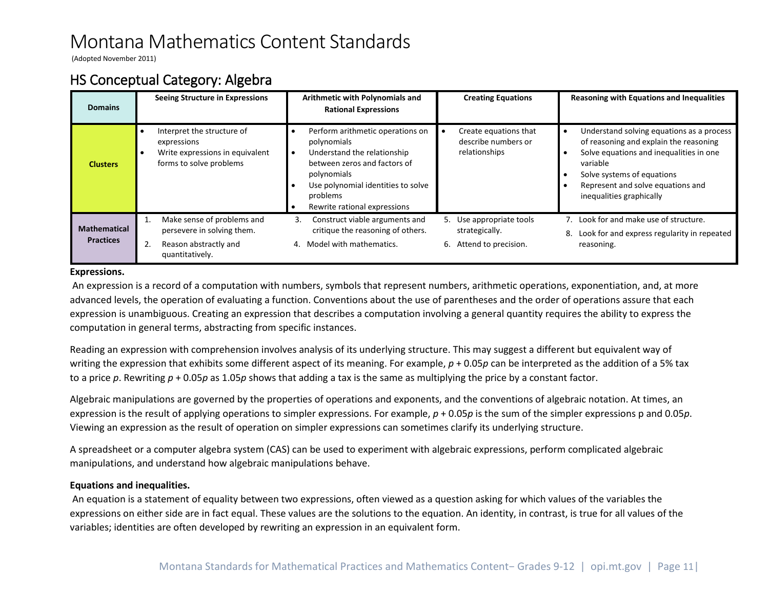(Adopted November 2011)

### <span id="page-10-0"></span>HS Conceptual Category: Algebra

| <b>Domains</b>                          | Seeing Structure in Expressions                                                                         | Arithmetic with Polynomials and<br><b>Rational Expressions</b>                                                                                                                                                  | <b>Creating Equations</b>                                             | <b>Reasoning with Equations and Inequalities</b>                                                                                                                                                                                          |
|-----------------------------------------|---------------------------------------------------------------------------------------------------------|-----------------------------------------------------------------------------------------------------------------------------------------------------------------------------------------------------------------|-----------------------------------------------------------------------|-------------------------------------------------------------------------------------------------------------------------------------------------------------------------------------------------------------------------------------------|
| <b>Clusters</b>                         | Interpret the structure of<br>expressions<br>Write expressions in equivalent<br>forms to solve problems | Perform arithmetic operations on<br>polynomials<br>Understand the relationship<br>between zeros and factors of<br>polynomials<br>Use polynomial identities to solve<br>problems<br>Rewrite rational expressions | Create equations that<br>describe numbers or<br>relationships         | Understand solving equations as a process<br>of reasoning and explain the reasoning<br>Solve equations and inequalities in one<br>variable<br>Solve systems of equations<br>Represent and solve equations and<br>inequalities graphically |
| <b>Mathematical</b><br><b>Practices</b> | Make sense of problems and<br>persevere in solving them.<br>Reason abstractly and<br>quantitatively.    | Construct viable arguments and<br>3.<br>critique the reasoning of others.<br>Model with mathematics.<br>4.                                                                                                      | 5. Use appropriate tools<br>strategically.<br>6. Attend to precision. | 7. Look for and make use of structure.<br>8. Look for and express regularity in repeated<br>reasoning.                                                                                                                                    |

#### **Expressions.**

An expression is a record of a computation with numbers, symbols that represent numbers, arithmetic operations, exponentiation, and, at more advanced levels, the operation of evaluating a function. Conventions about the use of parentheses and the order of operations assure that each expression is unambiguous. Creating an expression that describes a computation involving a general quantity requires the ability to express the computation in general terms, abstracting from specific instances.

Reading an expression with comprehension involves analysis of its underlying structure. This may suggest a different but equivalent way of writing the expression that exhibits some different aspect of its meaning. For example, *p* + 0.05*p* can be interpreted as the addition of a 5% tax to a price *p*. Rewriting *p* + 0.05*p* as 1.05*p* shows that adding a tax is the same as multiplying the price by a constant factor.

Algebraic manipulations are governed by the properties of operations and exponents, and the conventions of algebraic notation. At times, an expression is the result of applying operations to simpler expressions. For example, *p* + 0.05*p* is the sum of the simpler expressions p and 0.05*p*. Viewing an expression as the result of operation on simpler expressions can sometimes clarify its underlying structure.

A spreadsheet or a computer algebra system (CAS) can be used to experiment with algebraic expressions, perform complicated algebraic manipulations, and understand how algebraic manipulations behave.

#### **Equations and inequalities.**

An equation is a statement of equality between two expressions, often viewed as a question asking for which values of the variables the expressions on either side are in fact equal. These values are the solutions to the equation. An identity, in contrast, is true for all values of the variables; identities are often developed by rewriting an expression in an equivalent form.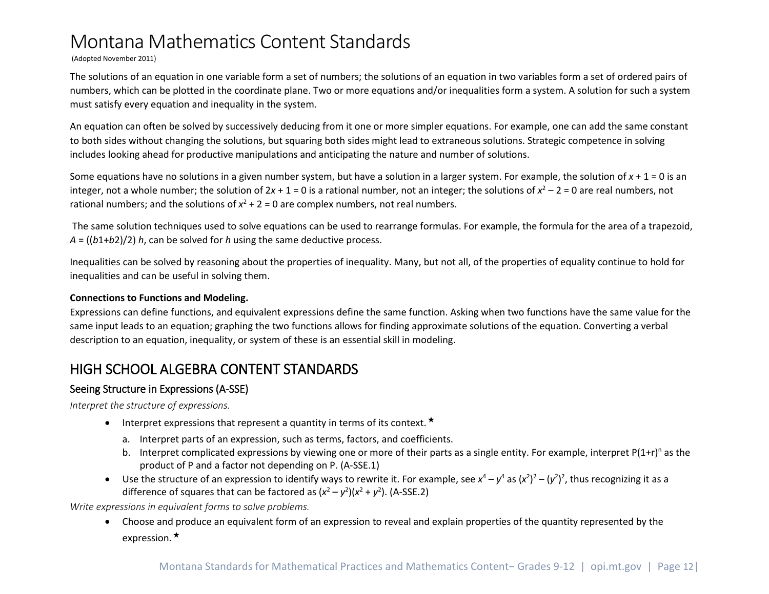#### (Adopted November 2011)

The solutions of an equation in one variable form a set of numbers; the solutions of an equation in two variables form a set of ordered pairs of numbers, which can be plotted in the coordinate plane. Two or more equations and/or inequalities form a system. A solution for such a system must satisfy every equation and inequality in the system.

An equation can often be solved by successively deducing from it one or more simpler equations. For example, one can add the same constant to both sides without changing the solutions, but squaring both sides might lead to extraneous solutions. Strategic competence in solving includes looking ahead for productive manipulations and anticipating the nature and number of solutions.

Some equations have no solutions in a given number system, but have a solution in a larger system. For example, the solution of *x* + 1 = 0 is an integer, not a whole number; the solution of  $2x + 1 = 0$  is a rational number, not an integer; the solutions of  $x^2 - 2 = 0$  are real numbers, not rational numbers; and the solutions of  $x^2 + 2 = 0$  are complex numbers, not real numbers.

The same solution techniques used to solve equations can be used to rearrange formulas. For example, the formula for the area of a trapezoid, *A* = ((*b*1+*b*2)/2) *h*, can be solved for *h* using the same deductive process.

Inequalities can be solved by reasoning about the properties of inequality. Many, but not all, of the properties of equality continue to hold for inequalities and can be useful in solving them.

#### **Connections to Functions and Modeling.**

Expressions can define functions, and equivalent expressions define the same function. Asking when two functions have the same value for the same input leads to an equation; graphing the two functions allows for finding approximate solutions of the equation. Converting a verbal description to an equation, inequality, or system of these is an essential skill in modeling.

### <span id="page-11-0"></span>HIGH SCHOOL ALGEBRA CONTENT STANDARDS

#### <span id="page-11-1"></span>Seeing Structure in Expressions (A-SSE)

*Interpret the structure of expressions.*

- Interpret expressions that represent a quantity in terms of its context.  $\star$ 
	- a. Interpret parts of an expression, such as terms, factors, and coefficients.
	- b. Interpret complicated expressions by viewing one or more of their parts as a single entity. For example, interpret  $P(1+r)^n$  as the product of P and a factor not depending on P. (A-SSE.1)
- Use the structure of an expression to identify ways to rewrite it. For example, see  $x^4 y^4$  as  $(x^2)^2 (y^2)^2$ , thus recognizing it as a difference of squares that can be factored as  $(x^2 - y^2)(x^2 + y^2)$ . (A-SSE.2)

*Write expressions in equivalent forms to solve problems.*

• Choose and produce an equivalent form of an expression to reveal and explain properties of the quantity represented by the expression. ★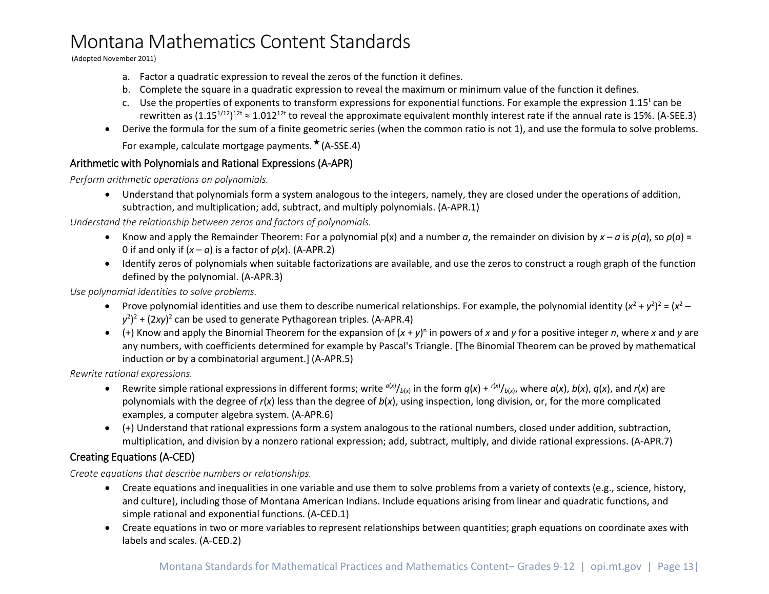(Adopted November 2011)

- a. Factor a quadratic expression to reveal the zeros of the function it defines.
- b. Complete the square in a quadratic expression to reveal the maximum or minimum value of the function it defines.
- c. Use the properties of exponents to transform expressions for exponential functions. For example the expression  $1.15^t$  can be rewritten as  $(1.15^{1/12})^{12t}$   $\approx$  1.012<sup>12t</sup> to reveal the approximate equivalent monthly interest rate if the annual rate is 15%. (A-SEE.3)
- Derive the formula for the sum of a finite geometric series (when the common ratio is not 1), and use the formula to solve problems. For example, calculate mortgage payments. ★ (A-SSE.4)

#### <span id="page-12-0"></span>Arithmetic with Polynomials and Rational Expressions (A-APR)

*Perform arithmetic operations on polynomials.*

• Understand that polynomials form a system analogous to the integers, namely, they are closed under the operations of addition, subtraction, and multiplication; add, subtract, and multiply polynomials. (A-APR.1)

*Understand the relationship between zeros and factors of polynomials.*

- Know and apply the Remainder Theorem: For a polynomial  $p(x)$  and a number *a*, the remainder on division by  $x a$  is  $p(a)$ , so  $p(a) =$ 0 if and only if  $(x - a)$  is a factor of  $p(x)$ . (A-APR.2)
- Identify zeros of polynomials when suitable factorizations are available, and use the zeros to construct a rough graph of the function defined by the polynomial. (A-APR.3)

*Use polynomial identities to solve problems.*

- Prove polynomial identities and use them to describe numerical relationships. For example, the polynomial identity  $(x^2 + y^2)^2 = (x^2 y^2)^2$ y<sup>2</sup>)<sup>2</sup> + (2xy)<sup>2</sup> can be used to generate Pythagorean triples. (A-APR.4)
- (+) Know and apply the Binomial Theorem for the expansion of  $(x + y)^n$  in powers of x and y for a positive integer *n*, where x and y are any numbers, with coefficients determined for example by Pascal's Triangle. [The Binomial Theorem can be proved by mathematical induction or by a combinatorial argument.] (A-APR.5)

*Rewrite rational expressions.*

- Rewrite simple rational expressions in different forms; write  $\frac{a(x)}{b(x)}$  in the form  $q(x) + \frac{r(x)}{b(x)}$ , where  $a(x)$ ,  $b(x)$ ,  $q(x)$ , and  $r(x)$  are polynomials with the degree of *r*(*x*) less than the degree of *b*(*x*), using inspection, long division, or, for the more complicated examples, a computer algebra system. (A-APR.6)
- (+) Understand that rational expressions form a system analogous to the rational numbers, closed under addition, subtraction, multiplication, and division by a nonzero rational expression; add, subtract, multiply, and divide rational expressions. (A-APR.7)

### <span id="page-12-1"></span>Creating Equations (A-CED)

*Create equations that describe numbers or relationships.*

- Create equations and inequalities in one variable and use them to solve problems from a variety of contexts (e.g., science, history, and culture), including those of Montana American Indians. Include equations arising from linear and quadratic functions, and simple rational and exponential functions. (A-CED.1)
- Create equations in two or more variables to represent relationships between quantities; graph equations on coordinate axes with labels and scales. (A-CED.2)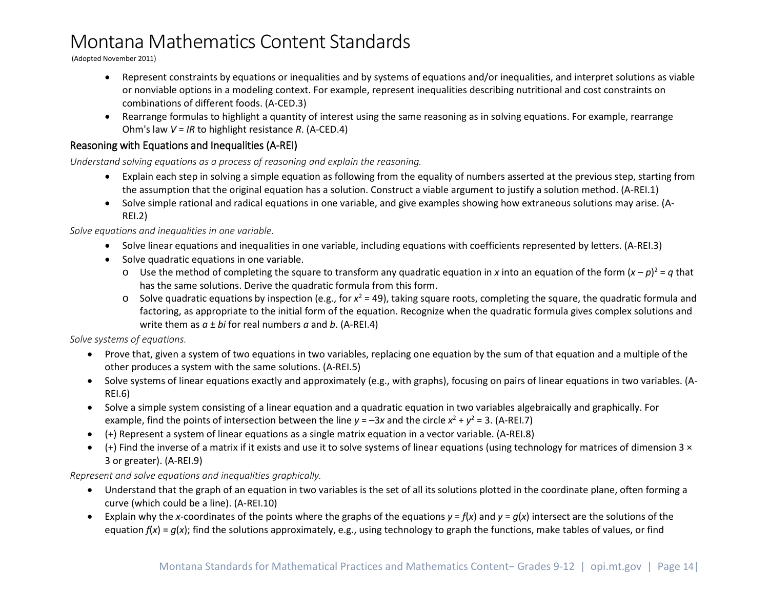(Adopted November 2011)

- Represent constraints by equations or inequalities and by systems of equations and/or inequalities, and interpret solutions as viable or nonviable options in a modeling context. For example, represent inequalities describing nutritional and cost constraints on combinations of different foods. (A-CED.3)
- Rearrange formulas to highlight a quantity of interest using the same reasoning as in solving equations. For example, rearrange Ohm's law *V* = *IR* to highlight resistance *R*. (A-CED.4)

#### <span id="page-13-0"></span>Reasoning with Equations and Inequalities (A-REI)

*Understand solving equations as a process of reasoning and explain the reasoning.*

- Explain each step in solving a simple equation as following from the equality of numbers asserted at the previous step, starting from the assumption that the original equation has a solution. Construct a viable argument to justify a solution method. (A-REI.1)
- Solve simple rational and radical equations in one variable, and give examples showing how extraneous solutions may arise. (A-REI.2)

#### *Solve equations and inequalities in one variable.*

- Solve linear equations and inequalities in one variable, including equations with coefficients represented by letters. (A-REI.3)
- Solve quadratic equations in one variable.
	- o Use the method of completing the square to transform any quadratic equation in *x* into an equation of the form (*x p*) <sup>2</sup> = *q* that has the same solutions. Derive the quadratic formula from this form.
	- $\circ$  Solve quadratic equations by inspection (e.g., for  $x^2 = 49$ ), taking square roots, completing the square, the quadratic formula and factoring, as appropriate to the initial form of the equation. Recognize when the quadratic formula gives complex solutions and write them as  $a \pm bi$  for real numbers  $a$  and  $b$ . (A-REI.4)

*Solve systems of equations.*

- Prove that, given a system of two equations in two variables, replacing one equation by the sum of that equation and a multiple of the other produces a system with the same solutions. (A-REI.5)
- Solve systems of linear equations exactly and approximately (e.g., with graphs), focusing on pairs of linear equations in two variables. (A-REI.6)
- Solve a simple system consisting of a linear equation and a quadratic equation in two variables algebraically and graphically. For example, find the points of intersection between the line  $y = -3x$  and the circle  $x^2 + y^2 = 3$ . (A-REI.7)
- (+) Represent a system of linear equations as a single matrix equation in a vector variable. (A-REI.8)
- $\bullet$  (+) Find the inverse of a matrix if it exists and use it to solve systems of linear equations (using technology for matrices of dimension 3  $\times$ 3 or greater). (A-REI.9)

#### *Represent and solve equations and inequalities graphically.*

- Understand that the graph of an equation in two variables is the set of all its solutions plotted in the coordinate plane, often forming a curve (which could be a line). (A-REI.10)
- Explain why the *x*-coordinates of the points where the graphs of the equations  $y = f(x)$  and  $y = g(x)$  intersect are the solutions of the equation  $f(x) = g(x)$ ; find the solutions approximately, e.g., using technology to graph the functions, make tables of values, or find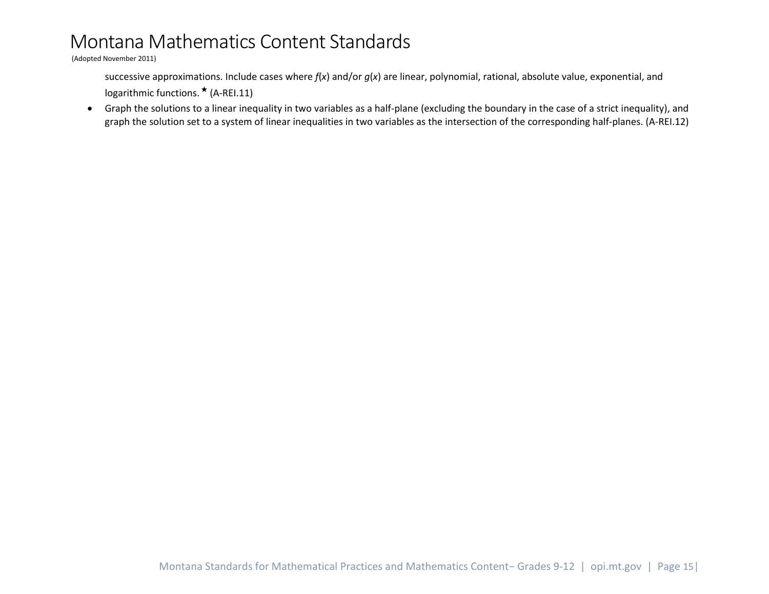(Adopted November 2011)

successive approximations. Include cases where *f*(*x*) and/or *g*(*x*) are linear, polynomial, rational, absolute value, exponential, and logarithmic functions. ★ (A-REI.11)

• Graph the solutions to a linear inequality in two variables as a half-plane (excluding the boundary in the case of a strict inequality), and graph the solution set to a system of linear inequalities in two variables as the intersection of the corresponding half-planes. (A-REI.12)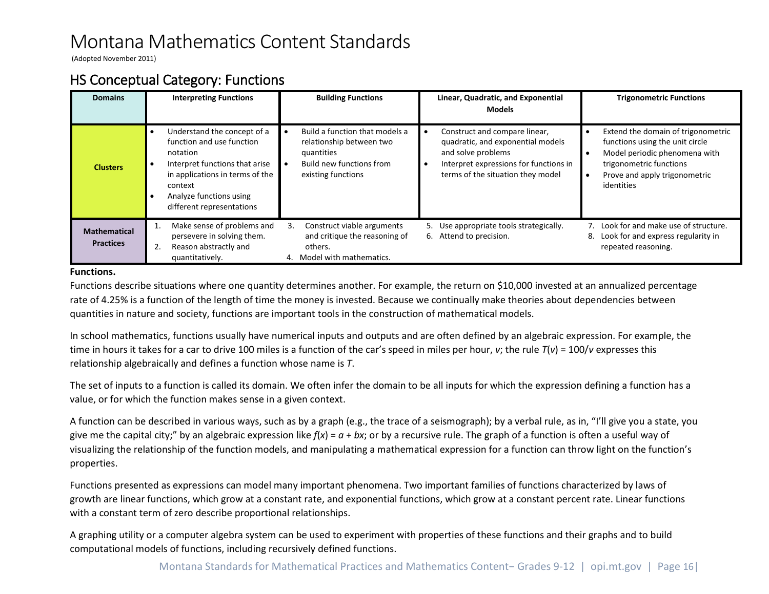(Adopted November 2011)

### <span id="page-15-0"></span>HS Conceptual Category: Functions

| <b>Domains</b>                          | <b>Interpreting Functions</b>                                                                                                                                                                                | <b>Building Functions</b>                                                                                                  |                                                                                                                                                                              | <b>Trigonometric Functions</b>                                                                                                                                                   |  |
|-----------------------------------------|--------------------------------------------------------------------------------------------------------------------------------------------------------------------------------------------------------------|----------------------------------------------------------------------------------------------------------------------------|------------------------------------------------------------------------------------------------------------------------------------------------------------------------------|----------------------------------------------------------------------------------------------------------------------------------------------------------------------------------|--|
| <b>Clusters</b>                         | Understand the concept of a<br>function and use function<br>notation<br>Interpret functions that arise<br>in applications in terms of the<br>context<br>Analyze functions using<br>different representations | Build a function that models a<br>relationship between two<br>quantities<br>Build new functions from<br>existing functions | Construct and compare linear,<br>quadratic, and exponential models<br>and solve problems<br>Interpret expressions for functions in<br>٠<br>terms of the situation they model | Extend the domain of trigonometric<br>functions using the unit circle<br>Model periodic phenomena with<br>trigonometric functions<br>Prove and apply trigonometric<br>identities |  |
| <b>Mathematical</b><br><b>Practices</b> | Make sense of problems and<br>persevere in solving them.<br>Reason abstractly and<br>quantitatively.                                                                                                         | Construct viable arguments<br>3.<br>and critique the reasoning of<br>others.<br>4. Model with mathematics.                 | 5. Use appropriate tools strategically.<br>6. Attend to precision.                                                                                                           | 7. Look for and make use of structure.<br>8. Look for and express regularity in<br>repeated reasoning.                                                                           |  |

#### **Functions.**

Functions describe situations where one quantity determines another. For example, the return on \$10,000 invested at an annualized percentage rate of 4.25% is a function of the length of time the money is invested. Because we continually make theories about dependencies between quantities in nature and society, functions are important tools in the construction of mathematical models.

In school mathematics, functions usually have numerical inputs and outputs and are often defined by an algebraic expression. For example, the time in hours it takes for a car to drive 100 miles is a function of the car's speed in miles per hour, *v*; the rule *T*(*v*) = 100/*v* expresses this relationship algebraically and defines a function whose name is *T*.

The set of inputs to a function is called its domain. We often infer the domain to be all inputs for which the expression defining a function has a value, or for which the function makes sense in a given context.

A function can be described in various ways, such as by a graph (e.g., the trace of a seismograph); by a verbal rule, as in, "I'll give you a state, you give me the capital city;" by an algebraic expression like  $f(x) = a + bx$ ; or by a recursive rule. The graph of a function is often a useful way of visualizing the relationship of the function models, and manipulating a mathematical expression for a function can throw light on the function's properties.

Functions presented as expressions can model many important phenomena. Two important families of functions characterized by laws of growth are linear functions, which grow at a constant rate, and exponential functions, which grow at a constant percent rate. Linear functions with a constant term of zero describe proportional relationships.

A graphing utility or a computer algebra system can be used to experiment with properties of these functions and their graphs and to build computational models of functions, including recursively defined functions.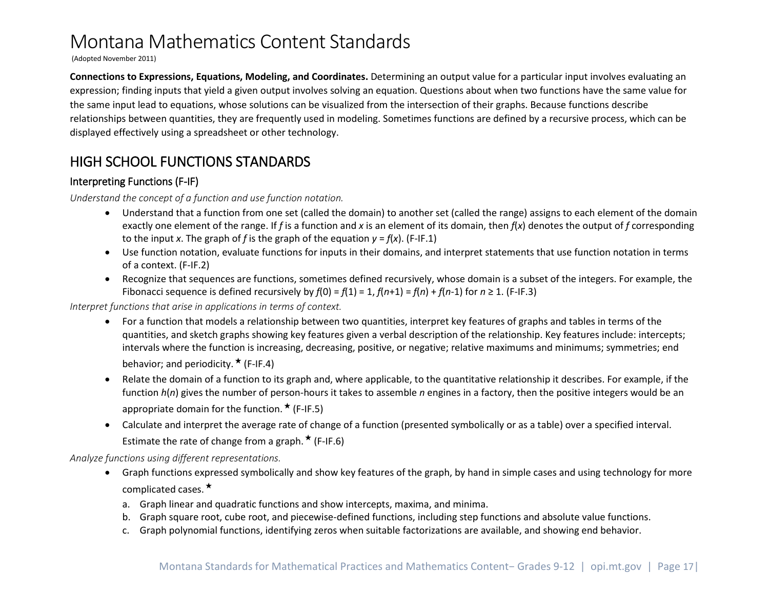(Adopted November 2011)

**Connections to Expressions, Equations, Modeling, and Coordinates.** Determining an output value for a particular input involves evaluating an expression; finding inputs that yield a given output involves solving an equation. Questions about when two functions have the same value for the same input lead to equations, whose solutions can be visualized from the intersection of their graphs. Because functions describe relationships between quantities, they are frequently used in modeling. Sometimes functions are defined by a recursive process, which can be displayed effectively using a spreadsheet or other technology.

### <span id="page-16-0"></span>HIGH SCHOOL FUNCTIONS STANDARDS

#### <span id="page-16-1"></span>Interpreting Functions (F-IF)

*Understand the concept of a function and use function notation.*

- Understand that a function from one set (called the domain) to another set (called the range) assigns to each element of the domain exactly one element of the range. If *f* is a function and *x* is an element of its domain, then *f*(*x*) denotes the output of *f* corresponding to the input *x*. The graph of *f* is the graph of the equation  $y = f(x)$ . (F-IF.1)
- Use function notation, evaluate functions for inputs in their domains, and interpret statements that use function notation in terms of a context. (F-IF.2)
- Recognize that sequences are functions, sometimes defined recursively, whose domain is a subset of the integers. For example, the Fibonacci sequence is defined recursively by  $f(0) = f(1) = 1$ ,  $f(n+1) = f(n) + f(n-1)$  for  $n \ge 1$ . (F-IF.3)

*Interpret functions that arise in applications in terms of context.*

- For a function that models a relationship between two quantities, interpret key features of graphs and tables in terms of the quantities, and sketch graphs showing key features given a verbal description of the relationship. Key features include: intercepts; intervals where the function is increasing, decreasing, positive, or negative; relative maximums and minimums; symmetries; end behavior; and periodicity.  $\star$  (F-IF.4)
- Relate the domain of a function to its graph and, where applicable, to the quantitative relationship it describes. For example, if the function *h*(*n*) gives the number of person-hours it takes to assemble *n* engines in a factory, then the positive integers would be an appropriate domain for the function.  $\star$  (F-IF.5)
- Calculate and interpret the average rate of change of a function (presented symbolically or as a table) over a specified interval. Estimate the rate of change from a graph.  $\star$  (F-IF.6)

*Analyze functions using different representations.*

- Graph functions expressed symbolically and show key features of the graph, by hand in simple cases and using technology for more complicated cases. ★
	- a. Graph linear and quadratic functions and show intercepts, maxima, and minima.
	- b. Graph square root, cube root, and piecewise-defined functions, including step functions and absolute value functions.
	- c. Graph polynomial functions, identifying zeros when suitable factorizations are available, and showing end behavior.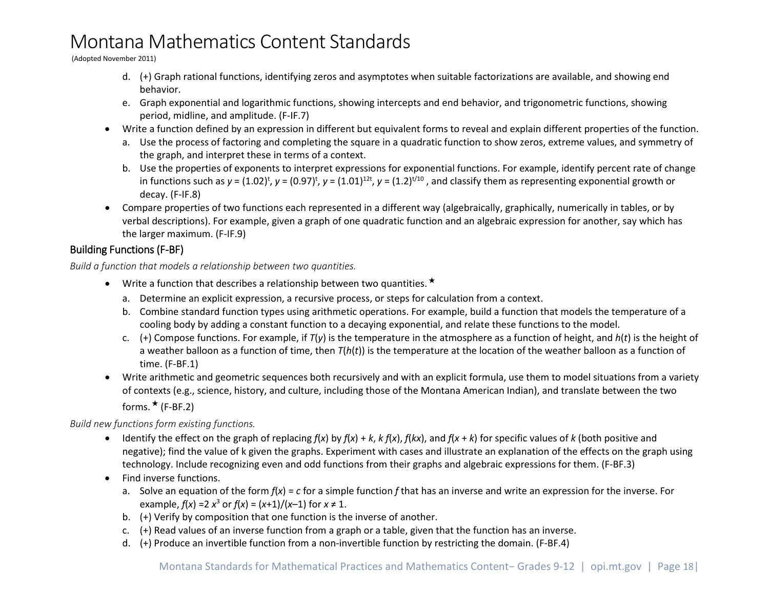(Adopted November 2011)

- d. (+) Graph rational functions, identifying zeros and asymptotes when suitable factorizations are available, and showing end behavior.
- e. Graph exponential and logarithmic functions, showing intercepts and end behavior, and trigonometric functions, showing period, midline, and amplitude. (F-IF.7)
- Write a function defined by an expression in different but equivalent forms to reveal and explain different properties of the function.
	- a. Use the process of factoring and completing the square in a quadratic function to show zeros, extreme values, and symmetry of the graph, and interpret these in terms of a context.
	- b. Use the properties of exponents to interpret expressions for exponential functions. For example, identify percent rate of change in functions such as  $y = (1.02)^t$ ,  $y = (0.97)^t$ ,  $y = (1.01)^{12t}$ ,  $y = (1.2)^{t/10}$ , and classify them as representing exponential growth or decay. (F-IF.8)
- Compare properties of two functions each represented in a different way (algebraically, graphically, numerically in tables, or by verbal descriptions). For example, given a graph of one quadratic function and an algebraic expression for another, say which has the larger maximum. (F-IF.9)

#### <span id="page-17-0"></span>Building Functions (F-BF)

*Build a function that models a relationship between two quantities.*

- Write a function that describes a relationship between two quantities. ★
	- a. Determine an explicit expression, a recursive process, or steps for calculation from a context.
	- b. Combine standard function types using arithmetic operations. For example, build a function that models the temperature of a cooling body by adding a constant function to a decaying exponential, and relate these functions to the model.
	- c. (+) Compose functions. For example, if *T*(*y*) is the temperature in the atmosphere as a function of height, and *h*(*t*) is the height of a weather balloon as a function of time, then *T*(*h*(*t*)) is the temperature at the location of the weather balloon as a function of time. (F-BF.1)
- Write arithmetic and geometric sequences both recursively and with an explicit formula, use them to model situations from a variety of contexts (e.g., science, history, and culture, including those of the Montana American Indian), and translate between the two

forms.  $\star$  (F-BF.2)

#### *Build new functions form existing functions.*

- Identify the effect on the graph of replacing  $f(x)$  by  $f(x) + k$ ,  $k f(x)$ ,  $f(kx)$ , and  $f(x + k)$  for specific values of k (both positive and negative); find the value of k given the graphs. Experiment with cases and illustrate an explanation of the effects on the graph using technology. Include recognizing even and odd functions from their graphs and algebraic expressions for them. (F-BF.3)
- Find inverse functions.
	- a. Solve an equation of the form *f*(*x*) = *c* for a simple function *f* that has an inverse and write an expression for the inverse. For example,  $f(x) = 2x^3$  or  $f(x) = (x+1)/(x-1)$  for  $x \ne 1$ .
	- b. (+) Verify by composition that one function is the inverse of another.
	- c. (+) Read values of an inverse function from a graph or a table, given that the function has an inverse.
	- d. (+) Produce an invertible function from a non-invertible function by restricting the domain. (F-BF.4)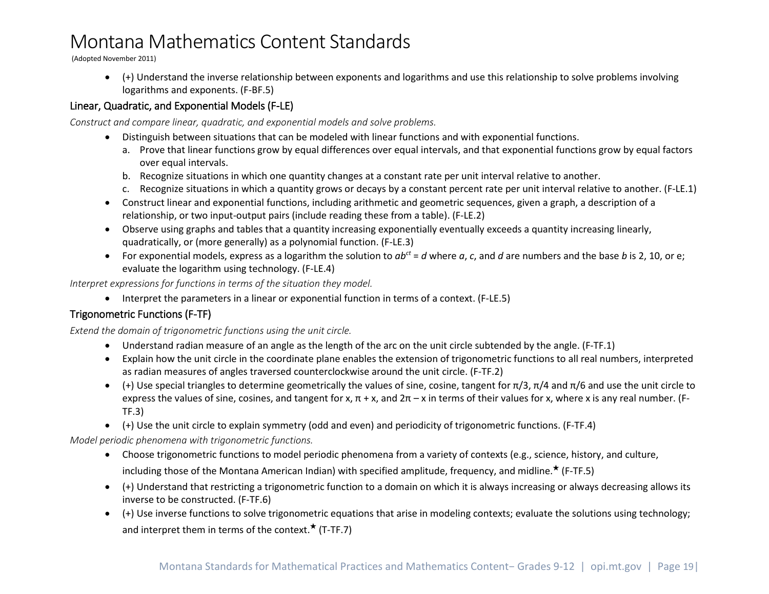(Adopted November 2011)

• (+) Understand the inverse relationship between exponents and logarithms and use this relationship to solve problems involving logarithms and exponents. (F-BF.5)

#### <span id="page-18-0"></span>Linear, Quadratic, and Exponential Models (F-LE)

*Construct and compare linear, quadratic, and exponential models and solve problems.*

- Distinguish between situations that can be modeled with linear functions and with exponential functions.
	- a. Prove that linear functions grow by equal differences over equal intervals, and that exponential functions grow by equal factors over equal intervals.
	- b. Recognize situations in which one quantity changes at a constant rate per unit interval relative to another.
	- c. Recognize situations in which a quantity grows or decays by a constant percent rate per unit interval relative to another. (F-LE.1)
- Construct linear and exponential functions, including arithmetic and geometric sequences, given a graph, a description of a relationship, or two input-output pairs (include reading these from a table). (F-LE.2)
- Observe using graphs and tables that a quantity increasing exponentially eventually exceeds a quantity increasing linearly, quadratically, or (more generally) as a polynomial function. (F-LE.3)
- For exponential models, express as a logarithm the solution to  $ab^{ct} = d$  where  $a, c$ , and  $d$  are numbers and the base  $b$  is 2, 10, or e; evaluate the logarithm using technology. (F-LE.4)

*Interpret expressions for functions in terms of the situation they model.*

• Interpret the parameters in a linear or exponential function in terms of a context. (F-LE.5)

### <span id="page-18-1"></span>Trigonometric Functions (F-TF)

*Extend the domain of trigonometric functions using the unit circle.*

- Understand radian measure of an angle as the length of the arc on the unit circle subtended by the angle. (F-TF.1)
- Explain how the unit circle in the coordinate plane enables the extension of trigonometric functions to all real numbers, interpreted as radian measures of angles traversed counterclockwise around the unit circle. (F-TF.2)
- (+) Use special triangles to determine geometrically the values of sine, cosine, tangent for  $\pi/3$ ,  $\pi/4$  and  $\pi/6$  and use the unit circle to express the values of sine, cosines, and tangent for x,  $\pi$  + x, and  $2\pi$  – x in terms of their values for x, where x is any real number. (F-TF.3)
- (+) Use the unit circle to explain symmetry (odd and even) and periodicity of trigonometric functions. (F-TF.4)

*Model periodic phenomena with trigonometric functions.*

- Choose trigonometric functions to model periodic phenomena from a variety of contexts (e.g., science, history, and culture, including those of the Montana American Indian) with specified amplitude, frequency, and midline.★ (F-TF.5)
- (+) Understand that restricting a trigonometric function to a domain on which it is always increasing or always decreasing allows its inverse to be constructed. (F-TF.6)
- (+) Use inverse functions to solve trigonometric equations that arise in modeling contexts; evaluate the solutions using technology; and interpret them in terms of the context.  $\star$  (T-TF.7)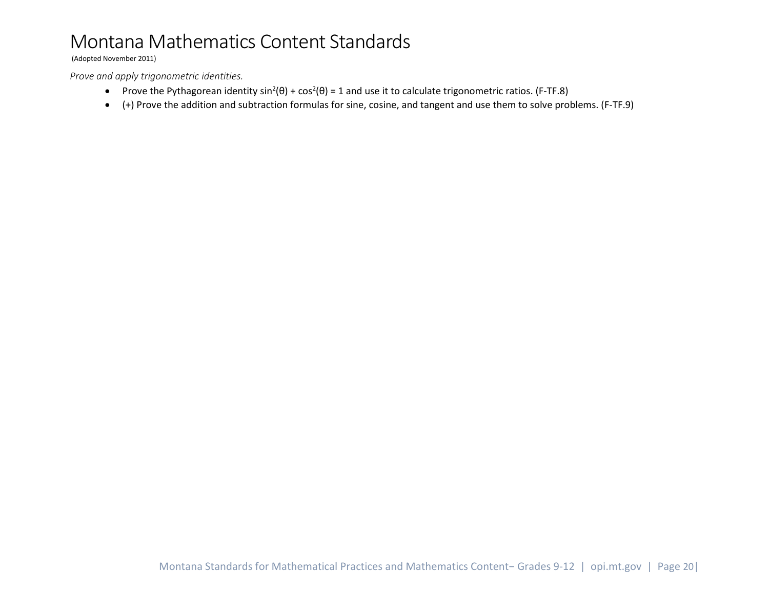(Adopted November 2011)

*Prove and apply trigonometric identities.*

- Prove the Pythagorean identity  $sin^2(\theta) + cos^2(\theta) = 1$  and use it to calculate trigonometric ratios. (F-TF.8)
- <span id="page-19-0"></span>• (+) Prove the addition and subtraction formulas for sine, cosine, and tangent and use them to solve problems. (F-TF.9)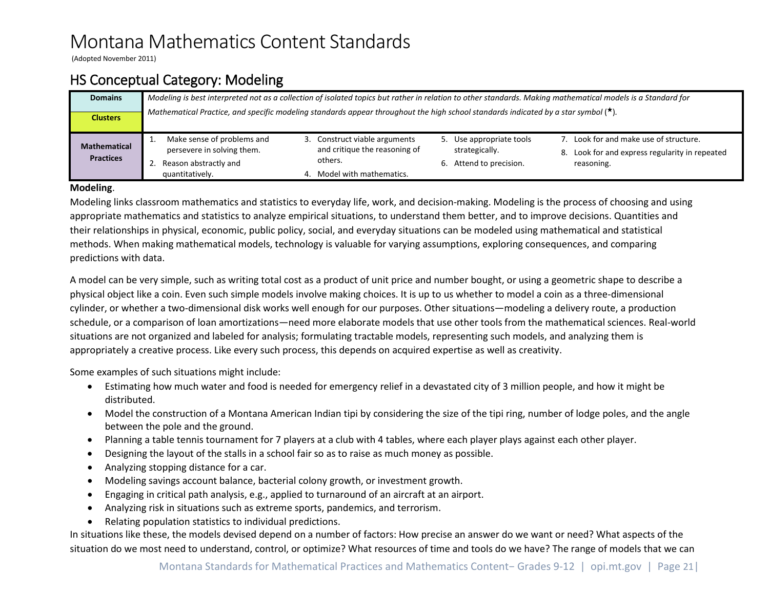(Adopted November 2011)

### HS Conceptual Category: Modeling

| <b>Domains</b>                          | Modeling is best interpreted not as a collection of isolated topics but rather in relation to other standards. Making mathematical models is a Standard for |                                                                                                                                                                               |                                                                                                        |  |  |
|-----------------------------------------|-------------------------------------------------------------------------------------------------------------------------------------------------------------|-------------------------------------------------------------------------------------------------------------------------------------------------------------------------------|--------------------------------------------------------------------------------------------------------|--|--|
| <b>Clusters</b>                         | Mathematical Practice, and specific modeling standards appear throughout the high school standards indicated by a star symbol $(\star)$ .                   |                                                                                                                                                                               |                                                                                                        |  |  |
| <b>Mathematical</b><br><b>Practices</b> | Make sense of problems and<br>persevere in solving them.<br>Reason abstractly and<br>quantitatively.                                                        | 3. Construct viable arguments<br>5. Use appropriate tools<br>and critique the reasoning of<br>strategically.<br>others.<br>6. Attend to precision.<br>Model with mathematics. | 7. Look for and make use of structure.<br>8. Look for and express regularity in repeated<br>reasoning. |  |  |

#### **Modeling**.

Modeling links classroom mathematics and statistics to everyday life, work, and decision-making. Modeling is the process of choosing and using appropriate mathematics and statistics to analyze empirical situations, to understand them better, and to improve decisions. Quantities and their relationships in physical, economic, public policy, social, and everyday situations can be modeled using mathematical and statistical methods. When making mathematical models, technology is valuable for varying assumptions, exploring consequences, and comparing predictions with data.

A model can be very simple, such as writing total cost as a product of unit price and number bought, or using a geometric shape to describe a physical object like a coin. Even such simple models involve making choices. It is up to us whether to model a coin as a three-dimensional cylinder, or whether a two-dimensional disk works well enough for our purposes. Other situations—modeling a delivery route, a production schedule, or a comparison of loan amortizations—need more elaborate models that use other tools from the mathematical sciences. Real-world situations are not organized and labeled for analysis; formulating tractable models, representing such models, and analyzing them is appropriately a creative process. Like every such process, this depends on acquired expertise as well as creativity.

Some examples of such situations might include:

- Estimating how much water and food is needed for emergency relief in a devastated city of 3 million people, and how it might be distributed.
- Model the construction of a Montana American Indian tipi by considering the size of the tipi ring, number of lodge poles, and the angle between the pole and the ground.
- Planning a table tennis tournament for 7 players at a club with 4 tables, where each player plays against each other player.
- Designing the layout of the stalls in a school fair so as to raise as much money as possible.
- Analyzing stopping distance for a car.
- Modeling savings account balance, bacterial colony growth, or investment growth.
- Engaging in critical path analysis, e.g., applied to turnaround of an aircraft at an airport.
- Analyzing risk in situations such as extreme sports, pandemics, and terrorism.
- Relating population statistics to individual predictions.

In situations like these, the models devised depend on a number of factors: How precise an answer do we want or need? What aspects of the situation do we most need to understand, control, or optimize? What resources of time and tools do we have? The range of models that we can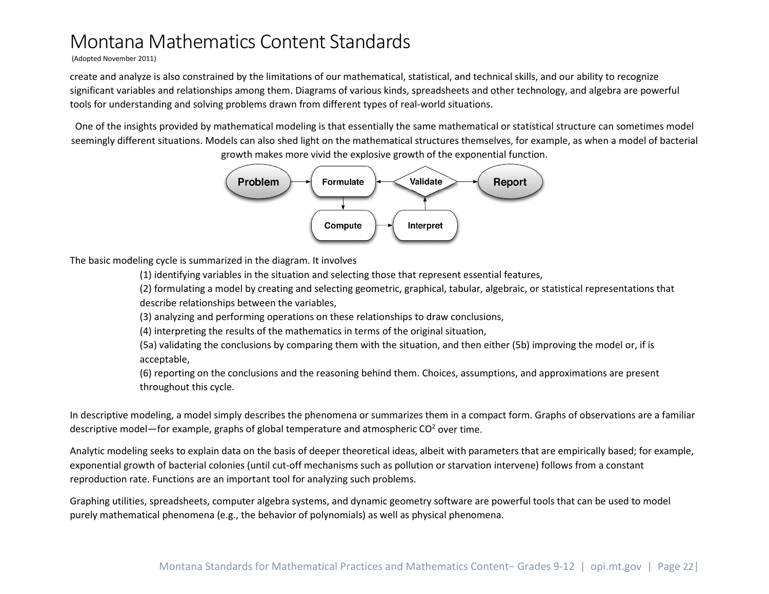(Adopted November 2011)

create and analyze is also constrained by the limitations of our mathematical, statistical, and technical skills, and our ability to recognize significant variables and relationships among them. Diagrams of various kinds, spreadsheets and other technology, and algebra are powerful tools for understanding and solving problems drawn from different types of real-world situations.

One of the insights provided by mathematical modeling is that essentially the same mathematical or statistical structure can sometimes model seemingly different situations. Models can also shed light on the mathematical structures themselves, for example, as when a model of bacterial growth makes more vivid the explosive growth of the exponential function.



The basic modeling cycle is summarized in the diagram. It involves

(1) identifying variables in the situation and selecting those that represent essential features,

(2) formulating a model by creating and selecting geometric, graphical, tabular, algebraic, or statistical representations that describe relationships between the variables,

(3) analyzing and performing operations on these relationships to draw conclusions,

(4) interpreting the results of the mathematics in terms of the original situation,

(5a) validating the conclusions by comparing them with the situation, and then either (5b) improving the model or, if is acceptable,

(6) reporting on the conclusions and the reasoning behind them. Choices, assumptions, and approximations are present throughout this cycle.

In descriptive modeling, a model simply describes the phenomena or summarizes them in a compact form. Graphs of observations are a familiar descriptive model—for example, graphs of global temperature and atmospheric  $CO<sup>2</sup>$  over time.

Analytic modeling seeks to explain data on the basis of deeper theoretical ideas, albeit with parameters that are empirically based; for example, exponential growth of bacterial colonies (until cut-off mechanisms such as pollution or starvation intervene) follows from a constant reproduction rate. Functions are an important tool for analyzing such problems.

Graphing utilities, spreadsheets, computer algebra systems, and dynamic geometry software are powerful tools that can be used to model purely mathematical phenomena (e.g., the behavior of polynomials) as well as physical phenomena.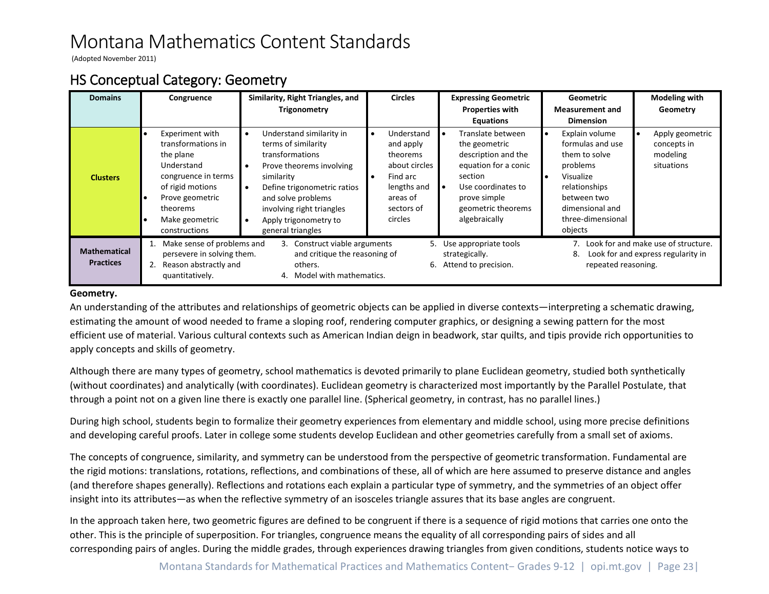(Adopted November 2011)

### <span id="page-22-0"></span>HS Conceptual Category: Geometry

| <b>Domains</b>                          | Congruence                                                                                                                                                                    | Similarity, Right Triangles, and<br><b>Trigonometry</b>                                                                                                                                                                                                                             | <b>Circles</b>                                                                                                       | <b>Expressing Geometric</b><br><b>Properties with</b><br><b>Equations</b>                                                                                                 | Geometric<br><b>Measurement and</b><br><b>Dimension</b>                                                                                                         | <b>Modeling with</b><br>Geometry                                             |
|-----------------------------------------|-------------------------------------------------------------------------------------------------------------------------------------------------------------------------------|-------------------------------------------------------------------------------------------------------------------------------------------------------------------------------------------------------------------------------------------------------------------------------------|----------------------------------------------------------------------------------------------------------------------|---------------------------------------------------------------------------------------------------------------------------------------------------------------------------|-----------------------------------------------------------------------------------------------------------------------------------------------------------------|------------------------------------------------------------------------------|
| <b>Clusters</b>                         | Experiment with<br>transformations in<br>the plane<br>Understand<br>congruence in terms<br>of rigid motions<br>Prove geometric<br>theorems<br>Make geometric<br>constructions | Understand similarity in<br>$\bullet$<br>terms of similarity<br>transformations<br>Prove theorems involving<br>similarity<br>Define trigonometric ratios<br>$\bullet$<br>and solve problems<br>involving right triangles<br>Apply trigonometry to<br>$\bullet$<br>general triangles | Understand<br>and apply<br>theorems<br>about circles<br>Find arc<br>lengths and<br>areas of<br>sectors of<br>circles | Translate between<br>the geometric<br>description and the<br>equation for a conic<br>section<br>Use coordinates to<br>prove simple<br>geometric theorems<br>algebraically | Explain volume<br>formulas and use<br>them to solve<br>problems<br>Visualize<br>relationships<br>between two<br>dimensional and<br>three-dimensional<br>objects | Apply geometric<br>concepts in<br>modeling<br>situations                     |
| <b>Mathematical</b><br><b>Practices</b> | Make sense of problems and<br>persevere in solving them.<br>Reason abstractly and<br>quantitatively.                                                                          | 3. Construct viable arguments<br>and critique the reasoning of<br>others.<br>4. Model with mathematics.                                                                                                                                                                             | 6.                                                                                                                   | 5. Use appropriate tools<br>strategically.<br>Attend to precision.                                                                                                        | 8.<br>repeated reasoning.                                                                                                                                       | 7. Look for and make use of structure.<br>Look for and express regularity in |

#### **Geometry.**

An understanding of the attributes and relationships of geometric objects can be applied in diverse contexts—interpreting a schematic drawing, estimating the amount of wood needed to frame a sloping roof, rendering computer graphics, or designing a sewing pattern for the most efficient use of material. Various cultural contexts such as American Indian deign in beadwork, star quilts, and tipis provide rich opportunities to apply concepts and skills of geometry.

Although there are many types of geometry, school mathematics is devoted primarily to plane Euclidean geometry, studied both synthetically (without coordinates) and analytically (with coordinates). Euclidean geometry is characterized most importantly by the Parallel Postulate, that through a point not on a given line there is exactly one parallel line. (Spherical geometry, in contrast, has no parallel lines.)

During high school, students begin to formalize their geometry experiences from elementary and middle school, using more precise definitions and developing careful proofs. Later in college some students develop Euclidean and other geometries carefully from a small set of axioms.

The concepts of congruence, similarity, and symmetry can be understood from the perspective of geometric transformation. Fundamental are the rigid motions: translations, rotations, reflections, and combinations of these, all of which are here assumed to preserve distance and angles (and therefore shapes generally). Reflections and rotations each explain a particular type of symmetry, and the symmetries of an object offer insight into its attributes—as when the reflective symmetry of an isosceles triangle assures that its base angles are congruent.

In the approach taken here, two geometric figures are defined to be congruent if there is a sequence of rigid motions that carries one onto the other. This is the principle of superposition. For triangles, congruence means the equality of all corresponding pairs of sides and all corresponding pairs of angles. During the middle grades, through experiences drawing triangles from given conditions, students notice ways to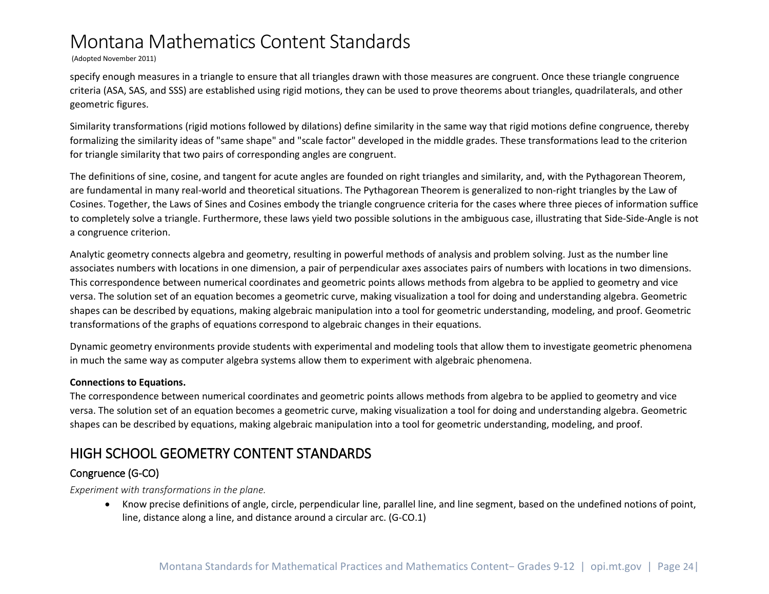(Adopted November 2011)

specify enough measures in a triangle to ensure that all triangles drawn with those measures are congruent. Once these triangle congruence criteria (ASA, SAS, and SSS) are established using rigid motions, they can be used to prove theorems about triangles, quadrilaterals, and other geometric figures.

Similarity transformations (rigid motions followed by dilations) define similarity in the same way that rigid motions define congruence, thereby formalizing the similarity ideas of "same shape" and "scale factor" developed in the middle grades. These transformations lead to the criterion for triangle similarity that two pairs of corresponding angles are congruent.

The definitions of sine, cosine, and tangent for acute angles are founded on right triangles and similarity, and, with the Pythagorean Theorem, are fundamental in many real-world and theoretical situations. The Pythagorean Theorem is generalized to non-right triangles by the Law of Cosines. Together, the Laws of Sines and Cosines embody the triangle congruence criteria for the cases where three pieces of information suffice to completely solve a triangle. Furthermore, these laws yield two possible solutions in the ambiguous case, illustrating that Side-Side-Angle is not a congruence criterion.

Analytic geometry connects algebra and geometry, resulting in powerful methods of analysis and problem solving. Just as the number line associates numbers with locations in one dimension, a pair of perpendicular axes associates pairs of numbers with locations in two dimensions. This correspondence between numerical coordinates and geometric points allows methods from algebra to be applied to geometry and vice versa. The solution set of an equation becomes a geometric curve, making visualization a tool for doing and understanding algebra. Geometric shapes can be described by equations, making algebraic manipulation into a tool for geometric understanding, modeling, and proof. Geometric transformations of the graphs of equations correspond to algebraic changes in their equations.

Dynamic geometry environments provide students with experimental and modeling tools that allow them to investigate geometric phenomena in much the same way as computer algebra systems allow them to experiment with algebraic phenomena.

#### **Connections to Equations.**

The correspondence between numerical coordinates and geometric points allows methods from algebra to be applied to geometry and vice versa. The solution set of an equation becomes a geometric curve, making visualization a tool for doing and understanding algebra. Geometric shapes can be described by equations, making algebraic manipulation into a tool for geometric understanding, modeling, and proof.

### <span id="page-23-0"></span>HIGH SCHOOL GEOMETRY CONTENT STANDARDS

#### <span id="page-23-1"></span>Congruence (G-CO)

*Experiment with transformations in the plane.* 

• Know precise definitions of angle, circle, perpendicular line, parallel line, and line segment, based on the undefined notions of point, line, distance along a line, and distance around a circular arc. (G-CO.1)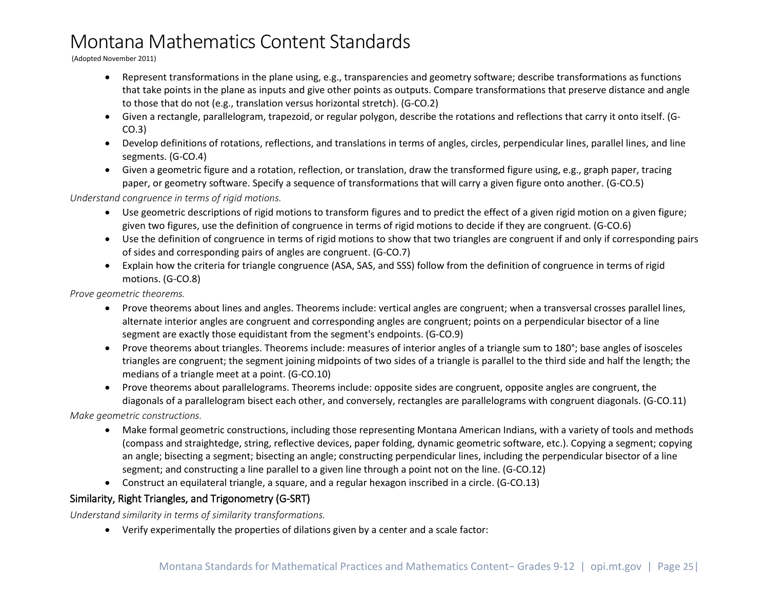(Adopted November 2011)

- Represent transformations in the plane using, e.g., transparencies and geometry software; describe transformations as functions that take points in the plane as inputs and give other points as outputs. Compare transformations that preserve distance and angle to those that do not (e.g., translation versus horizontal stretch). (G-CO.2)
- Given a rectangle, parallelogram, trapezoid, or regular polygon, describe the rotations and reflections that carry it onto itself. (G-CO.3)
- Develop definitions of rotations, reflections, and translations in terms of angles, circles, perpendicular lines, parallel lines, and line segments. (G-CO.4)
- Given a geometric figure and a rotation, reflection, or translation, draw the transformed figure using, e.g., graph paper, tracing paper, or geometry software. Specify a sequence of transformations that will carry a given figure onto another. (G-CO.5)

*Understand congruence in terms of rigid motions.*

- Use geometric descriptions of rigid motions to transform figures and to predict the effect of a given rigid motion on a given figure; given two figures, use the definition of congruence in terms of rigid motions to decide if they are congruent. (G-CO.6)
- Use the definition of congruence in terms of rigid motions to show that two triangles are congruent if and only if corresponding pairs of sides and corresponding pairs of angles are congruent. (G-CO.7)
- Explain how the criteria for triangle congruence (ASA, SAS, and SSS) follow from the definition of congruence in terms of rigid motions. (G-CO.8)

*Prove geometric theorems.*

- Prove theorems about lines and angles. Theorems include: vertical angles are congruent; when a transversal crosses parallel lines, alternate interior angles are congruent and corresponding angles are congruent; points on a perpendicular bisector of a line segment are exactly those equidistant from the segment's endpoints. (G-CO.9)
- Prove theorems about triangles. Theorems include: measures of interior angles of a triangle sum to 180°; base angles of isosceles triangles are congruent; the segment joining midpoints of two sides of a triangle is parallel to the third side and half the length; the medians of a triangle meet at a point. (G-CO.10)
- Prove theorems about parallelograms. Theorems include: opposite sides are congruent, opposite angles are congruent, the diagonals of a parallelogram bisect each other, and conversely, rectangles are parallelograms with congruent diagonals. (G-CO.11)

*Make geometric constructions.*

- Make formal geometric constructions, including those representing Montana American Indians, with a variety of tools and methods (compass and straightedge, string, reflective devices, paper folding, dynamic geometric software, etc.). Copying a segment; copying an angle; bisecting a segment; bisecting an angle; constructing perpendicular lines, including the perpendicular bisector of a line segment; and constructing a line parallel to a given line through a point not on the line. (G-CO.12)
- Construct an equilateral triangle, a square, and a regular hexagon inscribed in a circle. (G-CO.13)

#### <span id="page-24-0"></span>Similarity, Right Triangles, and Trigonometry (G-SRT)

*Understand similarity in terms of similarity transformations.*

• Verify experimentally the properties of dilations given by a center and a scale factor: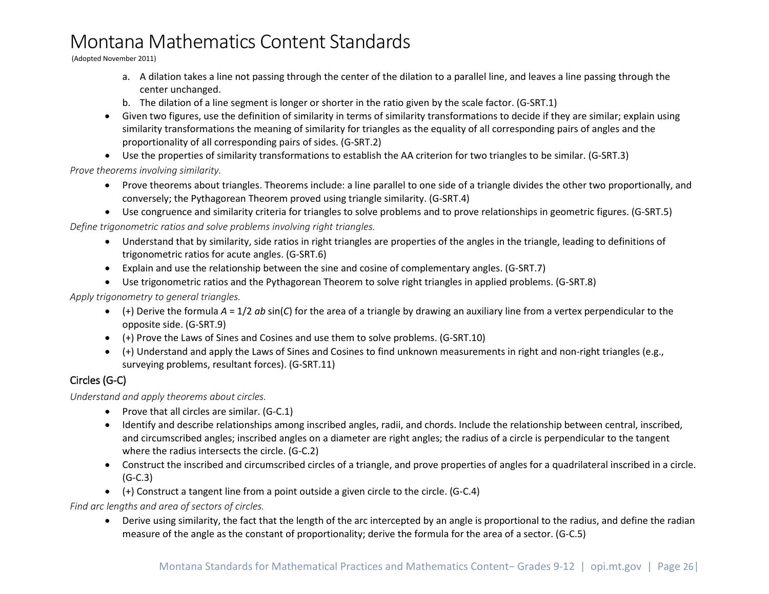(Adopted November 2011)

- a. A dilation takes a line not passing through the center of the dilation to a parallel line, and leaves a line passing through the center unchanged.
- b. The dilation of a line segment is longer or shorter in the ratio given by the scale factor. (G-SRT.1)
- Given two figures, use the definition of similarity in terms of similarity transformations to decide if they are similar; explain using similarity transformations the meaning of similarity for triangles as the equality of all corresponding pairs of angles and the proportionality of all corresponding pairs of sides. (G-SRT.2)
- Use the properties of similarity transformations to establish the AA criterion for two triangles to be similar. (G-SRT.3)

*Prove theorems involving similarity.*

- Prove theorems about triangles. Theorems include: a line parallel to one side of a triangle divides the other two proportionally, and conversely; the Pythagorean Theorem proved using triangle similarity. (G-SRT.4)
- Use congruence and similarity criteria for triangles to solve problems and to prove relationships in geometric figures. (G-SRT.5)

*Define trigonometric ratios and solve problems involving right triangles.*

- Understand that by similarity, side ratios in right triangles are properties of the angles in the triangle, leading to definitions of trigonometric ratios for acute angles. (G-SRT.6)
- Explain and use the relationship between the sine and cosine of complementary angles. (G-SRT.7)
- Use trigonometric ratios and the Pythagorean Theorem to solve right triangles in applied problems. (G-SRT.8)

*Apply trigonometry to general triangles.*

- (+) Derive the formula *A* = 1/2 *ab* sin(*C*) for the area of a triangle by drawing an auxiliary line from a vertex perpendicular to the opposite side. (G-SRT.9)
- (+) Prove the Laws of Sines and Cosines and use them to solve problems. (G-SRT.10)
- (+) Understand and apply the Laws of Sines and Cosines to find unknown measurements in right and non-right triangles (e.g., surveying problems, resultant forces). (G-SRT.11)

#### <span id="page-25-0"></span>Circles (G-C)

*Understand and apply theorems about circles.*

- Prove that all circles are similar. (G-C.1)
- Identify and describe relationships among inscribed angles, radii, and chords. Include the relationship between central, inscribed, and circumscribed angles; inscribed angles on a diameter are right angles; the radius of a circle is perpendicular to the tangent where the radius intersects the circle. (G-C.2)
- Construct the inscribed and circumscribed circles of a triangle, and prove properties of angles for a quadrilateral inscribed in a circle. (G-C.3)
- (+) Construct a tangent line from a point outside a given circle to the circle. (G-C.4)

*Find arc lengths and area of sectors of circles.*

• Derive using similarity, the fact that the length of the arc intercepted by an angle is proportional to the radius, and define the radian measure of the angle as the constant of proportionality; derive the formula for the area of a sector. (G-C.5)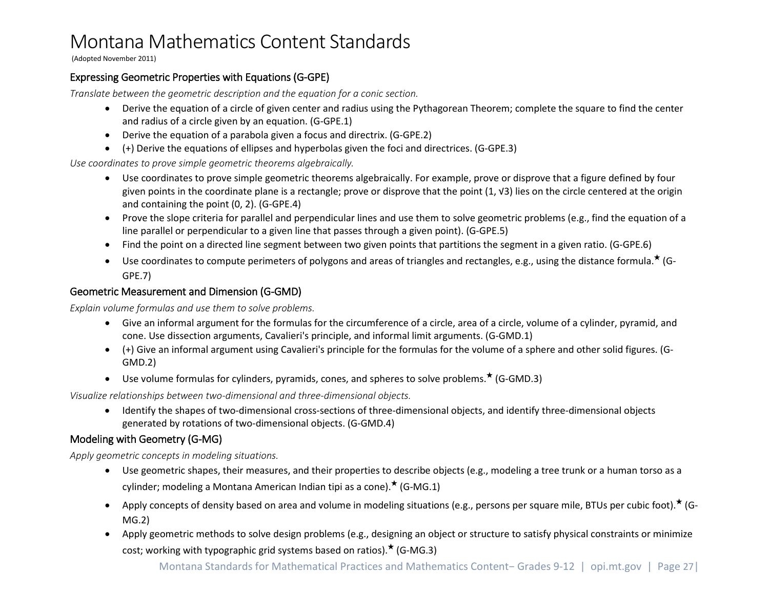(Adopted November 2011)

#### <span id="page-26-0"></span>Expressing Geometric Properties with Equations (G-GPE)

*Translate between the geometric description and the equation for a conic section.*

- Derive the equation of a circle of given center and radius using the Pythagorean Theorem; complete the square to find the center and radius of a circle given by an equation. (G-GPE.1)
- Derive the equation of a parabola given a focus and directrix. (G-GPE.2)
- (+) Derive the equations of ellipses and hyperbolas given the foci and directrices. (G-GPE.3)

*Use coordinates to prove simple geometric theorems algebraically.*

- Use coordinates to prove simple geometric theorems algebraically. For example, prove or disprove that a figure defined by four given points in the coordinate plane is a rectangle; prove or disprove that the point  $(1, \sqrt{3})$  lies on the circle centered at the origin and containing the point (0, 2). (G-GPE.4)
- Prove the slope criteria for parallel and perpendicular lines and use them to solve geometric problems (e.g., find the equation of a line parallel or perpendicular to a given line that passes through a given point). (G-GPE.5)
- Find the point on a directed line segment between two given points that partitions the segment in a given ratio. (G-GPE.6)
- Use coordinates to compute perimeters of polygons and areas of triangles and rectangles, e.g., using the distance formula.★ (G-GPE.7)

#### <span id="page-26-1"></span>Geometric Measurement and Dimension (G-GMD)

*Explain volume formulas and use them to solve problems.*

- Give an informal argument for the formulas for the circumference of a circle, area of a circle, volume of a cylinder, pyramid, and cone. Use dissection arguments, Cavalieri's principle, and informal limit arguments. (G-GMD.1)
- (+) Give an informal argument using Cavalieri's principle for the formulas for the volume of a sphere and other solid figures. (G-GMD.2)
- Use volume formulas for cylinders, pyramids, cones, and spheres to solve problems.★ (G-GMD.3)

*Visualize relationships between two-dimensional and three-dimensional objects.*

• Identify the shapes of two-dimensional cross-sections of three-dimensional objects, and identify three-dimensional objects generated by rotations of two-dimensional objects. (G-GMD.4)

#### <span id="page-26-2"></span>Modeling with Geometry (G-MG)

*Apply geometric concepts in modeling situations.*

- Use geometric shapes, their measures, and their properties to describe objects (e.g., modeling a tree trunk or a human torso as a cylinder; modeling a Montana American Indian tipi as a cone).★ (G-MG.1)
- Apply concepts of density based on area and volume in modeling situations (e.g., persons per square mile, BTUs per cubic foot).★ (G-MG.2)
- Apply geometric methods to solve design problems (e.g., designing an object or structure to satisfy physical constraints or minimize cost; working with typographic grid systems based on ratios).★ (G-MG.3)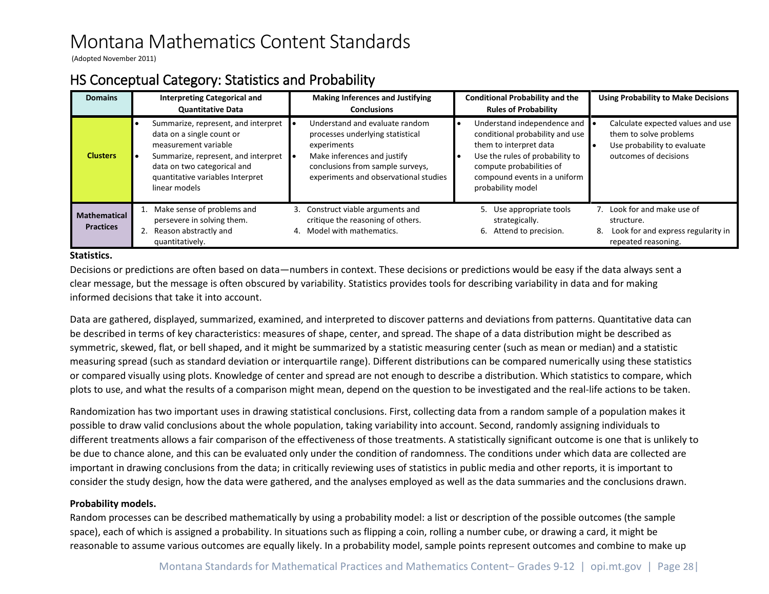(Adopted November 2011)

### <span id="page-27-0"></span>HS Conceptual Category: Statistics and Probability

| <b>Domains</b>                          | <b>Interpreting Categorical and</b><br><b>Quantitative Data</b>                                                                                                                                                     | <b>Making Inferences and Justifying</b><br><b>Conclusions</b>                                                                                                                                 | <b>Conditional Probability and the</b><br><b>Rules of Probability</b>                                                                                                                                        | <b>Using Probability to Make Decisions</b>                                                                          |
|-----------------------------------------|---------------------------------------------------------------------------------------------------------------------------------------------------------------------------------------------------------------------|-----------------------------------------------------------------------------------------------------------------------------------------------------------------------------------------------|--------------------------------------------------------------------------------------------------------------------------------------------------------------------------------------------------------------|---------------------------------------------------------------------------------------------------------------------|
| <b>Clusters</b>                         | Summarize, represent, and interpret<br>data on a single count or<br>measurement variable<br>Summarize, represent, and interpret<br>data on two categorical and<br>quantitative variables Interpret<br>linear models | Understand and evaluate random<br>processes underlying statistical<br>experiments<br>Make inferences and justify<br>conclusions from sample surveys,<br>experiments and observational studies | Understand independence and<br>conditional probability and use<br>them to interpret data<br>Use the rules of probability to<br>compute probabilities of<br>compound events in a uniform<br>probability model | Calculate expected values and use<br>them to solve problems<br>Use probability to evaluate<br>outcomes of decisions |
| <b>Mathematical</b><br><b>Practices</b> | Make sense of problems and<br>persevere in solving them.<br>Reason abstractly and<br>quantitatively.                                                                                                                | Construct viable arguments and<br>3.<br>critique the reasoning of others.<br>Model with mathematics.<br>4.                                                                                    | Use appropriate tools<br>strategically.<br>6. Attend to precision.                                                                                                                                           | 7. Look for and make use of<br>structure.<br>Look for and express regularity in<br>8.<br>repeated reasoning.        |

#### **Statistics.**

Decisions or predictions are often based on data—numbers in context. These decisions or predictions would be easy if the data always sent a clear message, but the message is often obscured by variability. Statistics provides tools for describing variability in data and for making informed decisions that take it into account.

Data are gathered, displayed, summarized, examined, and interpreted to discover patterns and deviations from patterns. Quantitative data can be described in terms of key characteristics: measures of shape, center, and spread. The shape of a data distribution might be described as symmetric, skewed, flat, or bell shaped, and it might be summarized by a statistic measuring center (such as mean or median) and a statistic measuring spread (such as standard deviation or interquartile range). Different distributions can be compared numerically using these statistics or compared visually using plots. Knowledge of center and spread are not enough to describe a distribution. Which statistics to compare, which plots to use, and what the results of a comparison might mean, depend on the question to be investigated and the real-life actions to be taken.

Randomization has two important uses in drawing statistical conclusions. First, collecting data from a random sample of a population makes it possible to draw valid conclusions about the whole population, taking variability into account. Second, randomly assigning individuals to different treatments allows a fair comparison of the effectiveness of those treatments. A statistically significant outcome is one that is unlikely to be due to chance alone, and this can be evaluated only under the condition of randomness. The conditions under which data are collected are important in drawing conclusions from the data; in critically reviewing uses of statistics in public media and other reports, it is important to consider the study design, how the data were gathered, and the analyses employed as well as the data summaries and the conclusions drawn.

#### **Probability models.**

Random processes can be described mathematically by using a probability model: a list or description of the possible outcomes (the sample space), each of which is assigned a probability. In situations such as flipping a coin, rolling a number cube, or drawing a card, it might be reasonable to assume various outcomes are equally likely. In a probability model, sample points represent outcomes and combine to make up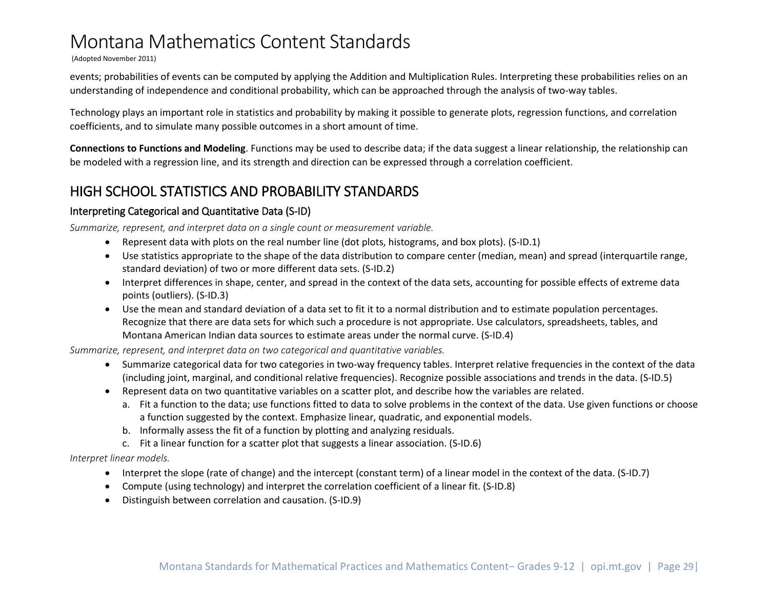#### (Adopted November 2011)

events; probabilities of events can be computed by applying the Addition and Multiplication Rules. Interpreting these probabilities relies on an understanding of independence and conditional probability, which can be approached through the analysis of two-way tables.

Technology plays an important role in statistics and probability by making it possible to generate plots, regression functions, and correlation coefficients, and to simulate many possible outcomes in a short amount of time.

**Connections to Functions and Modeling**. Functions may be used to describe data; if the data suggest a linear relationship, the relationship can be modeled with a regression line, and its strength and direction can be expressed through a correlation coefficient.

### <span id="page-28-0"></span>HIGH SCHOOL STATISTICS AND PROBABILITY STANDARDS

#### <span id="page-28-1"></span>Interpreting Categorical and Quantitative Data (S-ID)

*Summarize, represent, and interpret data on a single count or measurement variable.*

- Represent data with plots on the real number line (dot plots, histograms, and box plots). (S-ID.1)
- Use statistics appropriate to the shape of the data distribution to compare center (median, mean) and spread (interquartile range, standard deviation) of two or more different data sets. (S-ID.2)
- Interpret differences in shape, center, and spread in the context of the data sets, accounting for possible effects of extreme data points (outliers). (S-ID.3)
- Use the mean and standard deviation of a data set to fit it to a normal distribution and to estimate population percentages. Recognize that there are data sets for which such a procedure is not appropriate. Use calculators, spreadsheets, tables, and Montana American Indian data sources to estimate areas under the normal curve. (S-ID.4)

*Summarize, represent, and interpret data on two categorical and quantitative variables.*

- Summarize categorical data for two categories in two-way frequency tables. Interpret relative frequencies in the context of the data (including joint, marginal, and conditional relative frequencies). Recognize possible associations and trends in the data. (S-ID.5)
- Represent data on two quantitative variables on a scatter plot, and describe how the variables are related.
	- a. Fit a function to the data; use functions fitted to data to solve problems in the context of the data. Use given functions or choose a function suggested by the context. Emphasize linear, quadratic, and exponential models.
	- b. Informally assess the fit of a function by plotting and analyzing residuals.
	- c. Fit a linear function for a scatter plot that suggests a linear association. (S-ID.6)

*Interpret linear models.*

- Interpret the slope (rate of change) and the intercept (constant term) of a linear model in the context of the data. (S-ID.7)
- Compute (using technology) and interpret the correlation coefficient of a linear fit. (S-ID.8)
- Distinguish between correlation and causation. (S-ID.9)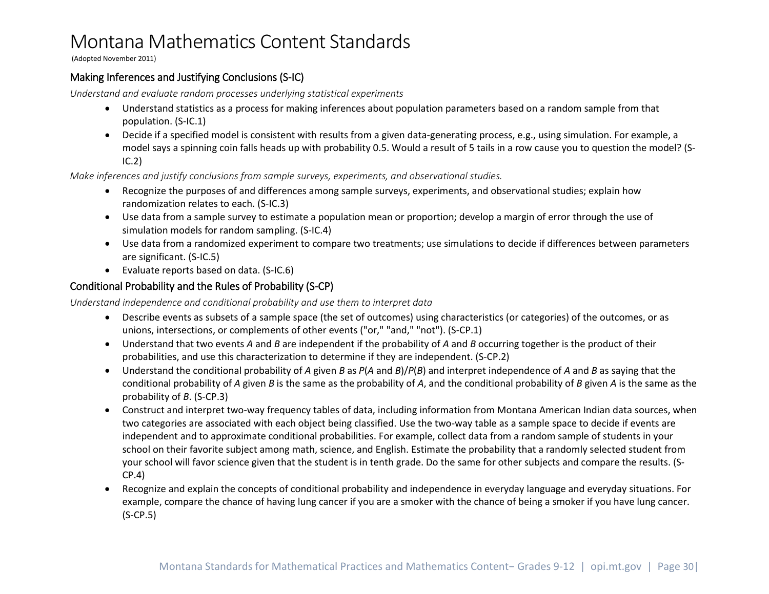(Adopted November 2011)

#### <span id="page-29-0"></span>Making Inferences and Justifying Conclusions (S-IC)

*Understand and evaluate random processes underlying statistical experiments*

- Understand statistics as a process for making inferences about population parameters based on a random sample from that population. (S-IC.1)
- Decide if a specified model is consistent with results from a given data-generating process, e.g., using simulation. For example, a model says a spinning coin falls heads up with probability 0.5. Would a result of 5 tails in a row cause you to question the model? (S- $IC.2)$

*Make inferences and justify conclusions from sample surveys, experiments, and observational studies.*

- Recognize the purposes of and differences among sample surveys, experiments, and observational studies; explain how randomization relates to each. (S-IC.3)
- Use data from a sample survey to estimate a population mean or proportion; develop a margin of error through the use of simulation models for random sampling. (S-IC.4)
- Use data from a randomized experiment to compare two treatments; use simulations to decide if differences between parameters are significant. (S-IC.5)
- Evaluate reports based on data. (S-IC.6)

#### <span id="page-29-1"></span>Conditional Probability and the Rules of Probability (S-CP)

*Understand independence and conditional probability and use them to interpret data*

- Describe events as subsets of a sample space (the set of outcomes) using characteristics (or categories) of the outcomes, or as unions, intersections, or complements of other events ("or," "and," "not"). (S-CP.1)
- Understand that two events *A* and *B* are independent if the probability of *A* and *B* occurring together is the product of their probabilities, and use this characterization to determine if they are independent. (S-CP.2)
- Understand the conditional probability of *A* given *B* as *P*(*A* and *B*)/*P*(*B*) and interpret independence of *A* and *B* as saying that the conditional probability of *A* given *B* is the same as the probability of *A*, and the conditional probability of *B* given *A* is the same as the probability of *B*. (S-CP.3)
- Construct and interpret two-way frequency tables of data, including information from Montana American Indian data sources, when two categories are associated with each object being classified. Use the two-way table as a sample space to decide if events are independent and to approximate conditional probabilities. For example, collect data from a random sample of students in your school on their favorite subject among math, science, and English. Estimate the probability that a randomly selected student from your school will favor science given that the student is in tenth grade. Do the same for other subjects and compare the results. (S-CP.4)
- Recognize and explain the concepts of conditional probability and independence in everyday language and everyday situations. For example, compare the chance of having lung cancer if you are a smoker with the chance of being a smoker if you have lung cancer. (S-CP.5)